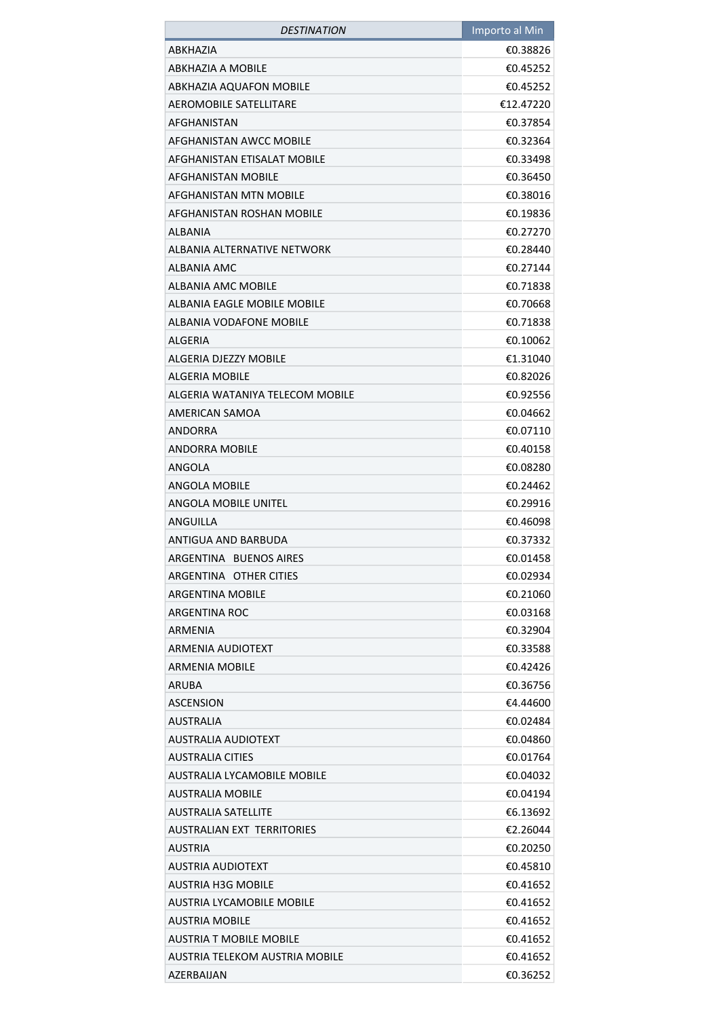| <i><b>DESTINATION</b></i>       | Importo al Min |
|---------------------------------|----------------|
| ABKHAZIA                        | €0.38826       |
| ABKHAZIA A MOBILE               | €0.45252       |
| ABKHAZIA AQUAFON MOBILE         | €0.45252       |
| AEROMOBILE SATELLITARE          | €12.47220      |
| AFGHANISTAN                     | €0.37854       |
| AFGHANISTAN AWCC MOBILE         | €0.32364       |
| AFGHANISTAN ETISALAT MOBILE     | €0.33498       |
| AFGHANISTAN MOBILE              | €0.36450       |
| AFGHANISTAN MTN MOBILE          | €0.38016       |
| AFGHANISTAN ROSHAN MOBILE       | €0.19836       |
| ALBANIA                         | €0.27270       |
| ALBANIA ALTERNATIVE NETWORK     | €0.28440       |
| ALBANIA AMC                     | €0.27144       |
| ALBANIA AMC MOBILE              | €0.71838       |
| ALBANIA EAGLE MOBILE MOBILE     | €0.70668       |
| ALBANIA VODAFONE MOBILE         | €0.71838       |
| ALGERIA                         | €0.10062       |
| ALGERIA DJEZZY MOBILE           | €1.31040       |
| ALGERIA MOBILE                  | €0.82026       |
| ALGERIA WATANIYA TELECOM MOBILE | €0.92556       |
| AMERICAN SAMOA                  | €0.04662       |
| ANDORRA                         | €0.07110       |
| ANDORRA MOBILE                  | €0.40158       |
| ANGOLA                          | €0.08280       |
| ANGOLA MOBILE                   | €0.24462       |
| ANGOLA MOBILE UNITEL            | €0.29916       |
| ANGUILLA                        | €0.46098       |
| ANTIGUA AND BARBUDA             | €0.37332       |
| ARGENTINA BUENOS AIRES          | €0.01458       |
| ARGENTINA OTHER CITIES          | €0.02934       |
| <b>ARGENTINA MOBILE</b>         | €0.21060       |
| ARGENTINA ROC                   | €0.03168       |
| ARMENIA                         | €0.32904       |
| ARMENIA AUDIOTEXT               | €0.33588       |
| ARMENIA MOBILE                  | €0.42426       |
| ARUBA                           | €0.36756       |
| ASCENSION                       | €4.44600       |
| AUSTRALIA                       | €0.02484       |
| AUSTRALIA AUDIOTEXT             | €0.04860       |
| <b>AUSTRALIA CITIES</b>         | €0.01764       |
| AUSTRALIA LYCAMOBILE MOBILE     | €0.04032       |
| AUSTRALIA MOBILE                | €0.04194       |
| AUSTRALIA SATELLITE             | €6.13692       |
| AUSTRALIAN EXT TERRITORIES      | €2.26044       |
| AUSTRIA                         | €0.20250       |
| AUSTRIA AUDIOTEXT               | €0.45810       |
| AUSTRIA H3G MOBILE              | €0.41652       |
| AUSTRIA LYCAMOBILE MOBILE       | €0.41652       |
| AUSTRIA MOBILE                  | €0.41652       |
| AUSTRIA T MOBILE MOBILE         | €0.41652       |
| AUSTRIA TELEKOM AUSTRIA MOBILE  | €0.41652       |
| AZERBAIJAN                      | €0.36252       |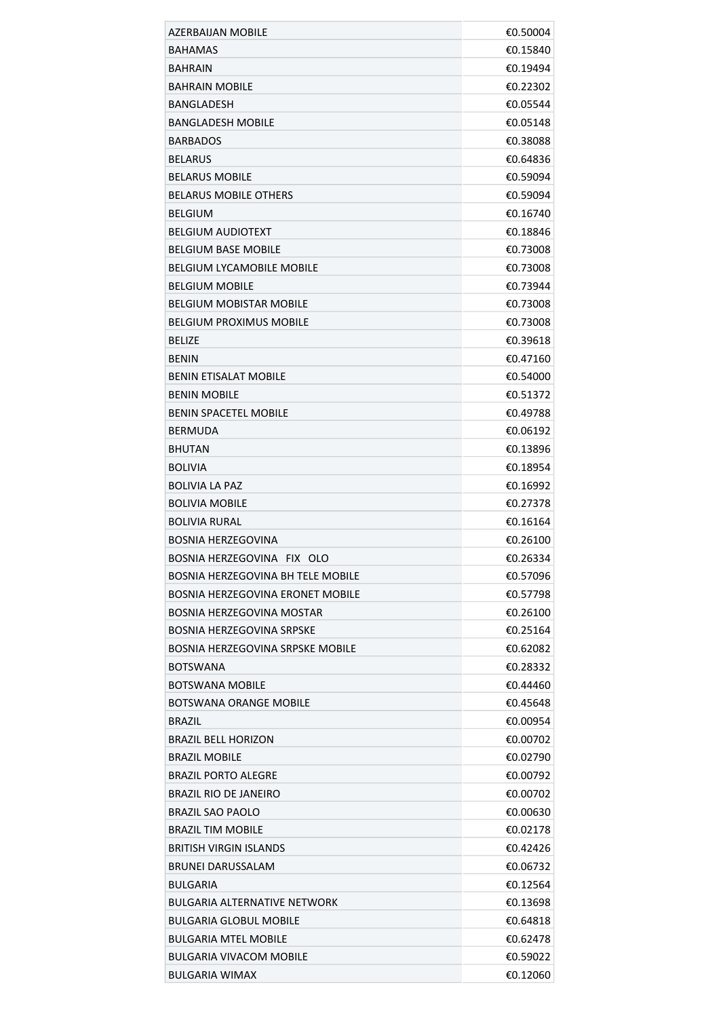| AZERBAIJAN MOBILE                       | €0.50004 |
|-----------------------------------------|----------|
| <b>BAHAMAS</b>                          | €0.15840 |
| <b>BAHRAIN</b>                          | €0.19494 |
| <b>BAHRAIN MOBILE</b>                   | €0.22302 |
| BANGLADESH                              | €0.05544 |
| <b>BANGLADESH MOBILE</b>                | €0.05148 |
| <b>BARBADOS</b>                         | €0.38088 |
| <b>BELARUS</b>                          | €0.64836 |
| <b>BELARUS MOBILE</b>                   | €0.59094 |
| <b>BELARUS MOBILE OTHERS</b>            | €0.59094 |
| <b>BELGIUM</b>                          | €0.16740 |
| <b>BELGIUM AUDIOTEXT</b>                | €0.18846 |
| <b>BELGIUM BASE MOBILE</b>              | €0.73008 |
| <b>BELGIUM LYCAMOBILE MOBILE</b>        | €0.73008 |
| <b>BELGIUM MOBILE</b>                   | €0.73944 |
| <b>BELGIUM MOBISTAR MOBILE</b>          | €0.73008 |
| <b>BELGIUM PROXIMUS MOBILE</b>          | €0.73008 |
| <b>BELIZE</b>                           | €0.39618 |
| <b>BENIN</b>                            | €0.47160 |
| <b>BENIN ETISALAT MOBILE</b>            | €0.54000 |
| <b>BENIN MOBILE</b>                     | €0.51372 |
| <b>BENIN SPACETEL MOBILE</b>            | €0.49788 |
| <b>BERMUDA</b>                          | €0.06192 |
| <b>BHUTAN</b>                           | €0.13896 |
| <b>BOLIVIA</b>                          | €0.18954 |
| <b>BOLIVIA LA PAZ</b>                   | €0.16992 |
| <b>BOLIVIA MOBILE</b>                   | €0.27378 |
| <b>BOLIVIA RURAL</b>                    | €0.16164 |
| BOSNIA HERZEGOVINA                      | €0.26100 |
| BOSNIA HERZEGOVINA FIX OLO              | €0.26334 |
| BOSNIA HERZEGOVINA BH TELE MOBILE       | €0.57096 |
| <b>BOSNIA HERZEGOVINA ERONET MOBILE</b> | €0.57798 |
| BOSNIA HERZEGOVINA MOSTAR               | €0.26100 |
| <b>BOSNIA HERZEGOVINA SRPSKE</b>        | €0.25164 |
| BOSNIA HERZEGOVINA SRPSKE MOBILE        | €0.62082 |
| <b>BOTSWANA</b>                         | €0.28332 |
| BOTSWANA MOBILE                         | €0.44460 |
| BOTSWANA ORANGE MOBILE                  | €0.45648 |
| <b>BRAZIL</b>                           | €0.00954 |
| <b>BRAZIL BELL HORIZON</b>              | €0.00702 |
| <b>BRAZIL MOBILE</b>                    | €0.02790 |
| <b>BRAZIL PORTO ALEGRE</b>              | €0.00792 |
| BRAZIL RIO DE JANEIRO                   | €0.00702 |
| <b>BRAZIL SAO PAOLO</b>                 |          |
|                                         | €0.00630 |
| <b>BRAZIL TIM MOBILE</b>                | €0.02178 |
| <b>BRITISH VIRGIN ISLANDS</b>           | €0.42426 |
| <b>BRUNEI DARUSSALAM</b>                | €0.06732 |
| BULGARIA                                | €0.12564 |
| BULGARIA ALTERNATIVE NETWORK            | €0.13698 |
| BULGARIA GLOBUL MOBILE                  | €0.64818 |
| <b>BULGARIA MTEL MOBILE</b>             | €0.62478 |
| <b>BULGARIA VIVACOM MOBILE</b>          | €0.59022 |
| <b>BULGARIA WIMAX</b>                   | €0.12060 |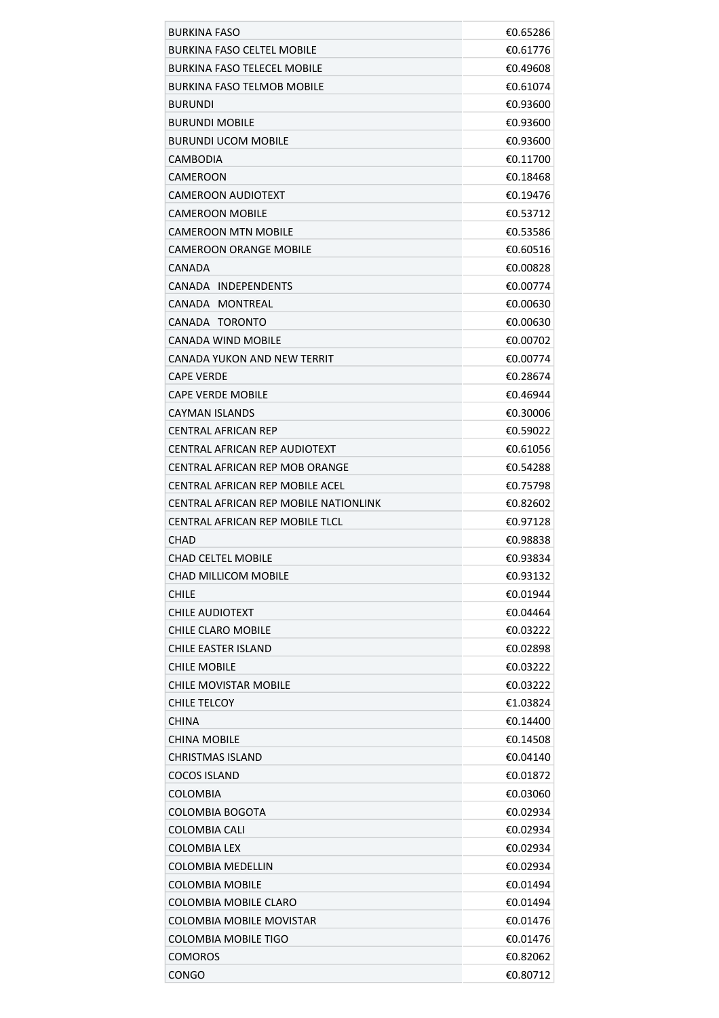| <b>BURKINA FASO</b>                   | €0.65286 |
|---------------------------------------|----------|
| <b>BURKINA FASO CELTEL MOBILE</b>     | €0.61776 |
| <b>BURKINA FASO TELECEL MOBILE</b>    | €0.49608 |
| <b>BURKINA FASO TELMOB MOBILE</b>     | €0.61074 |
| <b>BURUNDI</b>                        | €0.93600 |
| <b>BURUNDI MOBILE</b>                 | €0.93600 |
| <b>BURUNDI UCOM MOBILE</b>            | €0.93600 |
| CAMBODIA                              | €0.11700 |
| CAMEROON                              | €0.18468 |
| CAMEROON AUDIOTEXT                    | €0.19476 |
| <b>CAMEROON MOBILE</b>                | €0.53712 |
| <b>CAMEROON MTN MOBILE</b>            | €0.53586 |
| <b>CAMEROON ORANGE MOBILE</b>         | €0.60516 |
| CANADA                                | €0.00828 |
| CANADA INDEPENDENTS                   | €0.00774 |
| CANADA MONTREAL                       | €0.00630 |
| CANADA TORONTO                        | €0.00630 |
| CANADA WIND MOBILE                    | €0.00702 |
| CANADA YUKON AND NEW TERRIT           | €0.00774 |
| <b>CAPE VERDE</b>                     | €0.28674 |
| <b>CAPE VERDE MOBILE</b>              | €0.46944 |
| CAYMAN ISLANDS                        | €0.30006 |
| CENTRAL AFRICAN REP                   | €0.59022 |
| CENTRAL AFRICAN REP AUDIOTEXT         | €0.61056 |
| CENTRAL AFRICAN REP MOB ORANGE        | €0.54288 |
| CENTRAL AFRICAN REP MOBILE ACEL       | €0.75798 |
| CENTRAL AFRICAN REP MOBILE NATIONLINK | €0.82602 |
| CENTRAL AFRICAN REP MOBILE TLCL       | €0.97128 |
| CHAD                                  | €0.98838 |
| CHAD CELTEL MOBILE                    | €0.93834 |
| CHAD MILLICOM MOBILE                  | €0.93132 |
| <b>CHILE</b>                          | €0.01944 |
| <b>CHILE AUDIOTEXT</b>                | €0.04464 |
| <b>CHILE CLARO MOBILE</b>             | €0.03222 |
| CHILE EASTER ISLAND                   | €0.02898 |
| CHILE MOBILE                          | €0.03222 |
| CHILE MOVISTAR MOBILE                 | €0.03222 |
| CHILE TELCOY                          | €1.03824 |
| <b>CHINA</b>                          |          |
|                                       | €0.14400 |
| CHINA MOBILE                          | €0.14508 |
| CHRISTMAS ISLAND                      | €0.04140 |
| <b>COCOS ISLAND</b>                   | €0.01872 |
| COLOMBIA                              | €0.03060 |
| <b>COLOMBIA BOGOTA</b>                | €0.02934 |
| COLOMBIA CALI                         | €0.02934 |
| <b>COLOMBIA LEX</b>                   | €0.02934 |
| COLOMBIA MEDELLIN                     | €0.02934 |
| <b>COLOMBIA MOBILE</b>                | €0.01494 |
| COLOMBIA MOBILE CLARO                 | €0.01494 |
| <b>COLOMBIA MOBILE MOVISTAR</b>       | €0.01476 |
| COLOMBIA MOBILE TIGO                  | €0.01476 |
| <b>COMOROS</b>                        | €0.82062 |
| <b>CONGO</b>                          | €0.80712 |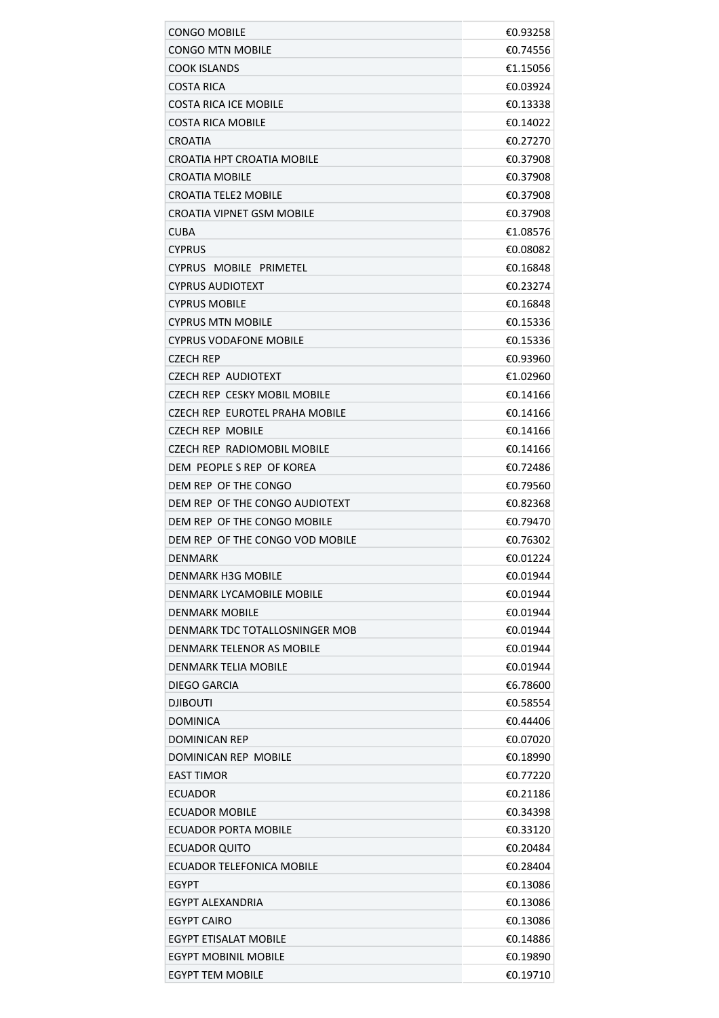| <b>CONGO MTN MOBILE</b><br>€0.74556<br><b>COOK ISLANDS</b><br>€1.15056<br>€0.03924<br>COSTA RICA<br>COSTA RICA ICE MOBILE<br>€0.13338<br>COSTA RICA MOBILE<br>€0.14022<br>CROATIA<br>€0.27270<br>CROATIA HPT CROATIA MOBILE<br>€0.37908<br><b>CROATIA MOBILE</b><br>€0.37908<br><b>CROATIA TELE2 MOBILE</b><br>€0.37908<br>CROATIA VIPNET GSM MOBILE<br>€0.37908<br><b>CUBA</b><br>€1.08576<br><b>CYPRUS</b><br>€0.08082<br>CYPRUS MOBILE PRIMETEL<br>€0.16848<br><b>CYPRUS AUDIOTEXT</b><br>€0.23274<br><b>CYPRUS MOBILE</b><br>€0.16848<br><b>CYPRUS MTN MOBILE</b><br>€0.15336<br><b>CYPRUS VODAFONE MOBILE</b><br>€0.15336<br><b>CZECH REP</b><br>€0.93960<br>CZECH REP AUDIOTEXT<br>€1.02960<br><b>CZECH REP CESKY MOBIL MOBILE</b><br>€0.14166<br><b>CZECH REP EUROTEL PRAHA MOBILE</b><br>€0.14166<br><b>CZECH REP MOBILE</b><br>€0.14166<br>CZECH REP RADIOMOBIL MOBILE<br>€0.14166<br>DEM PEOPLE S REP OF KOREA<br>€0.72486<br>DEM REP OF THE CONGO<br>€0.79560<br>DEM REP OF THE CONGO AUDIOTEXT<br>€0.82368<br>DEM REP OF THE CONGO MOBILE<br>€0.79470<br>DEM REP OF THE CONGO VOD MOBILE<br>€0.76302<br>€0.01224<br><b>DENMARK</b><br><b>DENMARK H3G MOBILE</b><br>€0.01944<br>DENMARK LYCAMOBILE MOBILE<br>€0.01944<br><b>DENMARK MOBILE</b><br>€0.01944<br>DENMARK TDC TOTALLOSNINGER MOB<br>€0.01944<br>DENMARK TELENOR AS MOBILE<br>€0.01944<br>€0.01944<br>DENMARK TELIA MOBILE<br>DIEGO GARCIA<br>€6.78600<br><b>DJIBOUTI</b><br>€0.58554<br>DOMINICA<br>€0.44406<br><b>DOMINICAN REP</b><br>€0.07020<br>DOMINICAN REP MOBILE<br>€0.18990<br><b>EAST TIMOR</b><br>€0.77220<br><b>ECUADOR</b><br>€0.21186<br>ECUADOR MOBILE<br>€0.34398<br><b>ECUADOR PORTA MOBILE</b><br>€0.33120<br>€0.20484<br>ECUADOR QUITO<br>ECUADOR TELEFONICA MOBILE<br>€0.28404<br><b>EGYPT</b><br>€0.13086<br>EGYPT ALEXANDRIA<br>€0.13086<br><b>EGYPT CAIRO</b><br>€0.13086<br>EGYPT ETISALAT MOBILE<br>€0.14886<br>EGYPT MOBINIL MOBILE<br>€0.19890<br><b>EGYPT TEM MOBILE</b><br>€0.19710 | CONGO MOBILE | €0.93258 |
|-----------------------------------------------------------------------------------------------------------------------------------------------------------------------------------------------------------------------------------------------------------------------------------------------------------------------------------------------------------------------------------------------------------------------------------------------------------------------------------------------------------------------------------------------------------------------------------------------------------------------------------------------------------------------------------------------------------------------------------------------------------------------------------------------------------------------------------------------------------------------------------------------------------------------------------------------------------------------------------------------------------------------------------------------------------------------------------------------------------------------------------------------------------------------------------------------------------------------------------------------------------------------------------------------------------------------------------------------------------------------------------------------------------------------------------------------------------------------------------------------------------------------------------------------------------------------------------------------------------------------------------------------------------------------------------------------------------------------------------------------------------------------------------------------------------------------------------------------------------------------------------------------------------------------------------------------------------------------------------------|--------------|----------|
|                                                                                                                                                                                                                                                                                                                                                                                                                                                                                                                                                                                                                                                                                                                                                                                                                                                                                                                                                                                                                                                                                                                                                                                                                                                                                                                                                                                                                                                                                                                                                                                                                                                                                                                                                                                                                                                                                                                                                                                         |              |          |
|                                                                                                                                                                                                                                                                                                                                                                                                                                                                                                                                                                                                                                                                                                                                                                                                                                                                                                                                                                                                                                                                                                                                                                                                                                                                                                                                                                                                                                                                                                                                                                                                                                                                                                                                                                                                                                                                                                                                                                                         |              |          |
|                                                                                                                                                                                                                                                                                                                                                                                                                                                                                                                                                                                                                                                                                                                                                                                                                                                                                                                                                                                                                                                                                                                                                                                                                                                                                                                                                                                                                                                                                                                                                                                                                                                                                                                                                                                                                                                                                                                                                                                         |              |          |
|                                                                                                                                                                                                                                                                                                                                                                                                                                                                                                                                                                                                                                                                                                                                                                                                                                                                                                                                                                                                                                                                                                                                                                                                                                                                                                                                                                                                                                                                                                                                                                                                                                                                                                                                                                                                                                                                                                                                                                                         |              |          |
|                                                                                                                                                                                                                                                                                                                                                                                                                                                                                                                                                                                                                                                                                                                                                                                                                                                                                                                                                                                                                                                                                                                                                                                                                                                                                                                                                                                                                                                                                                                                                                                                                                                                                                                                                                                                                                                                                                                                                                                         |              |          |
|                                                                                                                                                                                                                                                                                                                                                                                                                                                                                                                                                                                                                                                                                                                                                                                                                                                                                                                                                                                                                                                                                                                                                                                                                                                                                                                                                                                                                                                                                                                                                                                                                                                                                                                                                                                                                                                                                                                                                                                         |              |          |
|                                                                                                                                                                                                                                                                                                                                                                                                                                                                                                                                                                                                                                                                                                                                                                                                                                                                                                                                                                                                                                                                                                                                                                                                                                                                                                                                                                                                                                                                                                                                                                                                                                                                                                                                                                                                                                                                                                                                                                                         |              |          |
|                                                                                                                                                                                                                                                                                                                                                                                                                                                                                                                                                                                                                                                                                                                                                                                                                                                                                                                                                                                                                                                                                                                                                                                                                                                                                                                                                                                                                                                                                                                                                                                                                                                                                                                                                                                                                                                                                                                                                                                         |              |          |
|                                                                                                                                                                                                                                                                                                                                                                                                                                                                                                                                                                                                                                                                                                                                                                                                                                                                                                                                                                                                                                                                                                                                                                                                                                                                                                                                                                                                                                                                                                                                                                                                                                                                                                                                                                                                                                                                                                                                                                                         |              |          |
|                                                                                                                                                                                                                                                                                                                                                                                                                                                                                                                                                                                                                                                                                                                                                                                                                                                                                                                                                                                                                                                                                                                                                                                                                                                                                                                                                                                                                                                                                                                                                                                                                                                                                                                                                                                                                                                                                                                                                                                         |              |          |
|                                                                                                                                                                                                                                                                                                                                                                                                                                                                                                                                                                                                                                                                                                                                                                                                                                                                                                                                                                                                                                                                                                                                                                                                                                                                                                                                                                                                                                                                                                                                                                                                                                                                                                                                                                                                                                                                                                                                                                                         |              |          |
|                                                                                                                                                                                                                                                                                                                                                                                                                                                                                                                                                                                                                                                                                                                                                                                                                                                                                                                                                                                                                                                                                                                                                                                                                                                                                                                                                                                                                                                                                                                                                                                                                                                                                                                                                                                                                                                                                                                                                                                         |              |          |
|                                                                                                                                                                                                                                                                                                                                                                                                                                                                                                                                                                                                                                                                                                                                                                                                                                                                                                                                                                                                                                                                                                                                                                                                                                                                                                                                                                                                                                                                                                                                                                                                                                                                                                                                                                                                                                                                                                                                                                                         |              |          |
|                                                                                                                                                                                                                                                                                                                                                                                                                                                                                                                                                                                                                                                                                                                                                                                                                                                                                                                                                                                                                                                                                                                                                                                                                                                                                                                                                                                                                                                                                                                                                                                                                                                                                                                                                                                                                                                                                                                                                                                         |              |          |
|                                                                                                                                                                                                                                                                                                                                                                                                                                                                                                                                                                                                                                                                                                                                                                                                                                                                                                                                                                                                                                                                                                                                                                                                                                                                                                                                                                                                                                                                                                                                                                                                                                                                                                                                                                                                                                                                                                                                                                                         |              |          |
|                                                                                                                                                                                                                                                                                                                                                                                                                                                                                                                                                                                                                                                                                                                                                                                                                                                                                                                                                                                                                                                                                                                                                                                                                                                                                                                                                                                                                                                                                                                                                                                                                                                                                                                                                                                                                                                                                                                                                                                         |              |          |
|                                                                                                                                                                                                                                                                                                                                                                                                                                                                                                                                                                                                                                                                                                                                                                                                                                                                                                                                                                                                                                                                                                                                                                                                                                                                                                                                                                                                                                                                                                                                                                                                                                                                                                                                                                                                                                                                                                                                                                                         |              |          |
|                                                                                                                                                                                                                                                                                                                                                                                                                                                                                                                                                                                                                                                                                                                                                                                                                                                                                                                                                                                                                                                                                                                                                                                                                                                                                                                                                                                                                                                                                                                                                                                                                                                                                                                                                                                                                                                                                                                                                                                         |              |          |
|                                                                                                                                                                                                                                                                                                                                                                                                                                                                                                                                                                                                                                                                                                                                                                                                                                                                                                                                                                                                                                                                                                                                                                                                                                                                                                                                                                                                                                                                                                                                                                                                                                                                                                                                                                                                                                                                                                                                                                                         |              |          |
|                                                                                                                                                                                                                                                                                                                                                                                                                                                                                                                                                                                                                                                                                                                                                                                                                                                                                                                                                                                                                                                                                                                                                                                                                                                                                                                                                                                                                                                                                                                                                                                                                                                                                                                                                                                                                                                                                                                                                                                         |              |          |
|                                                                                                                                                                                                                                                                                                                                                                                                                                                                                                                                                                                                                                                                                                                                                                                                                                                                                                                                                                                                                                                                                                                                                                                                                                                                                                                                                                                                                                                                                                                                                                                                                                                                                                                                                                                                                                                                                                                                                                                         |              |          |
|                                                                                                                                                                                                                                                                                                                                                                                                                                                                                                                                                                                                                                                                                                                                                                                                                                                                                                                                                                                                                                                                                                                                                                                                                                                                                                                                                                                                                                                                                                                                                                                                                                                                                                                                                                                                                                                                                                                                                                                         |              |          |
|                                                                                                                                                                                                                                                                                                                                                                                                                                                                                                                                                                                                                                                                                                                                                                                                                                                                                                                                                                                                                                                                                                                                                                                                                                                                                                                                                                                                                                                                                                                                                                                                                                                                                                                                                                                                                                                                                                                                                                                         |              |          |
|                                                                                                                                                                                                                                                                                                                                                                                                                                                                                                                                                                                                                                                                                                                                                                                                                                                                                                                                                                                                                                                                                                                                                                                                                                                                                                                                                                                                                                                                                                                                                                                                                                                                                                                                                                                                                                                                                                                                                                                         |              |          |
|                                                                                                                                                                                                                                                                                                                                                                                                                                                                                                                                                                                                                                                                                                                                                                                                                                                                                                                                                                                                                                                                                                                                                                                                                                                                                                                                                                                                                                                                                                                                                                                                                                                                                                                                                                                                                                                                                                                                                                                         |              |          |
|                                                                                                                                                                                                                                                                                                                                                                                                                                                                                                                                                                                                                                                                                                                                                                                                                                                                                                                                                                                                                                                                                                                                                                                                                                                                                                                                                                                                                                                                                                                                                                                                                                                                                                                                                                                                                                                                                                                                                                                         |              |          |
|                                                                                                                                                                                                                                                                                                                                                                                                                                                                                                                                                                                                                                                                                                                                                                                                                                                                                                                                                                                                                                                                                                                                                                                                                                                                                                                                                                                                                                                                                                                                                                                                                                                                                                                                                                                                                                                                                                                                                                                         |              |          |
|                                                                                                                                                                                                                                                                                                                                                                                                                                                                                                                                                                                                                                                                                                                                                                                                                                                                                                                                                                                                                                                                                                                                                                                                                                                                                                                                                                                                                                                                                                                                                                                                                                                                                                                                                                                                                                                                                                                                                                                         |              |          |
|                                                                                                                                                                                                                                                                                                                                                                                                                                                                                                                                                                                                                                                                                                                                                                                                                                                                                                                                                                                                                                                                                                                                                                                                                                                                                                                                                                                                                                                                                                                                                                                                                                                                                                                                                                                                                                                                                                                                                                                         |              |          |
|                                                                                                                                                                                                                                                                                                                                                                                                                                                                                                                                                                                                                                                                                                                                                                                                                                                                                                                                                                                                                                                                                                                                                                                                                                                                                                                                                                                                                                                                                                                                                                                                                                                                                                                                                                                                                                                                                                                                                                                         |              |          |
|                                                                                                                                                                                                                                                                                                                                                                                                                                                                                                                                                                                                                                                                                                                                                                                                                                                                                                                                                                                                                                                                                                                                                                                                                                                                                                                                                                                                                                                                                                                                                                                                                                                                                                                                                                                                                                                                                                                                                                                         |              |          |
|                                                                                                                                                                                                                                                                                                                                                                                                                                                                                                                                                                                                                                                                                                                                                                                                                                                                                                                                                                                                                                                                                                                                                                                                                                                                                                                                                                                                                                                                                                                                                                                                                                                                                                                                                                                                                                                                                                                                                                                         |              |          |
|                                                                                                                                                                                                                                                                                                                                                                                                                                                                                                                                                                                                                                                                                                                                                                                                                                                                                                                                                                                                                                                                                                                                                                                                                                                                                                                                                                                                                                                                                                                                                                                                                                                                                                                                                                                                                                                                                                                                                                                         |              |          |
|                                                                                                                                                                                                                                                                                                                                                                                                                                                                                                                                                                                                                                                                                                                                                                                                                                                                                                                                                                                                                                                                                                                                                                                                                                                                                                                                                                                                                                                                                                                                                                                                                                                                                                                                                                                                                                                                                                                                                                                         |              |          |
|                                                                                                                                                                                                                                                                                                                                                                                                                                                                                                                                                                                                                                                                                                                                                                                                                                                                                                                                                                                                                                                                                                                                                                                                                                                                                                                                                                                                                                                                                                                                                                                                                                                                                                                                                                                                                                                                                                                                                                                         |              |          |
|                                                                                                                                                                                                                                                                                                                                                                                                                                                                                                                                                                                                                                                                                                                                                                                                                                                                                                                                                                                                                                                                                                                                                                                                                                                                                                                                                                                                                                                                                                                                                                                                                                                                                                                                                                                                                                                                                                                                                                                         |              |          |
|                                                                                                                                                                                                                                                                                                                                                                                                                                                                                                                                                                                                                                                                                                                                                                                                                                                                                                                                                                                                                                                                                                                                                                                                                                                                                                                                                                                                                                                                                                                                                                                                                                                                                                                                                                                                                                                                                                                                                                                         |              |          |
|                                                                                                                                                                                                                                                                                                                                                                                                                                                                                                                                                                                                                                                                                                                                                                                                                                                                                                                                                                                                                                                                                                                                                                                                                                                                                                                                                                                                                                                                                                                                                                                                                                                                                                                                                                                                                                                                                                                                                                                         |              |          |
|                                                                                                                                                                                                                                                                                                                                                                                                                                                                                                                                                                                                                                                                                                                                                                                                                                                                                                                                                                                                                                                                                                                                                                                                                                                                                                                                                                                                                                                                                                                                                                                                                                                                                                                                                                                                                                                                                                                                                                                         |              |          |
|                                                                                                                                                                                                                                                                                                                                                                                                                                                                                                                                                                                                                                                                                                                                                                                                                                                                                                                                                                                                                                                                                                                                                                                                                                                                                                                                                                                                                                                                                                                                                                                                                                                                                                                                                                                                                                                                                                                                                                                         |              |          |
|                                                                                                                                                                                                                                                                                                                                                                                                                                                                                                                                                                                                                                                                                                                                                                                                                                                                                                                                                                                                                                                                                                                                                                                                                                                                                                                                                                                                                                                                                                                                                                                                                                                                                                                                                                                                                                                                                                                                                                                         |              |          |
|                                                                                                                                                                                                                                                                                                                                                                                                                                                                                                                                                                                                                                                                                                                                                                                                                                                                                                                                                                                                                                                                                                                                                                                                                                                                                                                                                                                                                                                                                                                                                                                                                                                                                                                                                                                                                                                                                                                                                                                         |              |          |
|                                                                                                                                                                                                                                                                                                                                                                                                                                                                                                                                                                                                                                                                                                                                                                                                                                                                                                                                                                                                                                                                                                                                                                                                                                                                                                                                                                                                                                                                                                                                                                                                                                                                                                                                                                                                                                                                                                                                                                                         |              |          |
|                                                                                                                                                                                                                                                                                                                                                                                                                                                                                                                                                                                                                                                                                                                                                                                                                                                                                                                                                                                                                                                                                                                                                                                                                                                                                                                                                                                                                                                                                                                                                                                                                                                                                                                                                                                                                                                                                                                                                                                         |              |          |
|                                                                                                                                                                                                                                                                                                                                                                                                                                                                                                                                                                                                                                                                                                                                                                                                                                                                                                                                                                                                                                                                                                                                                                                                                                                                                                                                                                                                                                                                                                                                                                                                                                                                                                                                                                                                                                                                                                                                                                                         |              |          |
|                                                                                                                                                                                                                                                                                                                                                                                                                                                                                                                                                                                                                                                                                                                                                                                                                                                                                                                                                                                                                                                                                                                                                                                                                                                                                                                                                                                                                                                                                                                                                                                                                                                                                                                                                                                                                                                                                                                                                                                         |              |          |
|                                                                                                                                                                                                                                                                                                                                                                                                                                                                                                                                                                                                                                                                                                                                                                                                                                                                                                                                                                                                                                                                                                                                                                                                                                                                                                                                                                                                                                                                                                                                                                                                                                                                                                                                                                                                                                                                                                                                                                                         |              |          |
|                                                                                                                                                                                                                                                                                                                                                                                                                                                                                                                                                                                                                                                                                                                                                                                                                                                                                                                                                                                                                                                                                                                                                                                                                                                                                                                                                                                                                                                                                                                                                                                                                                                                                                                                                                                                                                                                                                                                                                                         |              |          |
|                                                                                                                                                                                                                                                                                                                                                                                                                                                                                                                                                                                                                                                                                                                                                                                                                                                                                                                                                                                                                                                                                                                                                                                                                                                                                                                                                                                                                                                                                                                                                                                                                                                                                                                                                                                                                                                                                                                                                                                         |              |          |
|                                                                                                                                                                                                                                                                                                                                                                                                                                                                                                                                                                                                                                                                                                                                                                                                                                                                                                                                                                                                                                                                                                                                                                                                                                                                                                                                                                                                                                                                                                                                                                                                                                                                                                                                                                                                                                                                                                                                                                                         |              |          |
|                                                                                                                                                                                                                                                                                                                                                                                                                                                                                                                                                                                                                                                                                                                                                                                                                                                                                                                                                                                                                                                                                                                                                                                                                                                                                                                                                                                                                                                                                                                                                                                                                                                                                                                                                                                                                                                                                                                                                                                         |              |          |
|                                                                                                                                                                                                                                                                                                                                                                                                                                                                                                                                                                                                                                                                                                                                                                                                                                                                                                                                                                                                                                                                                                                                                                                                                                                                                                                                                                                                                                                                                                                                                                                                                                                                                                                                                                                                                                                                                                                                                                                         |              |          |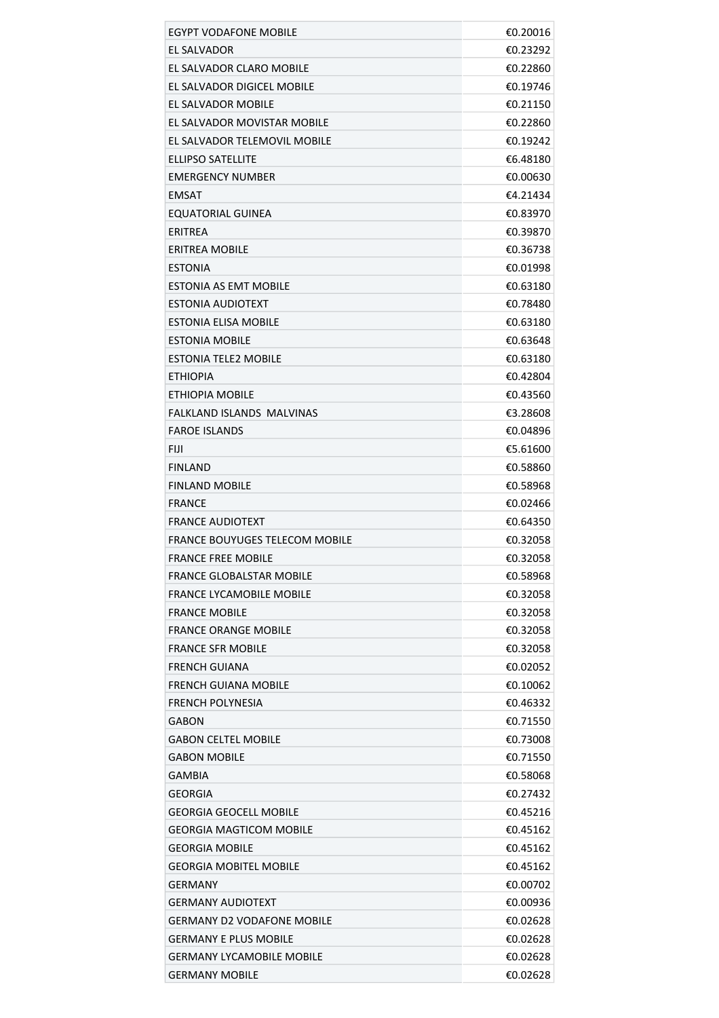| EGYPT VODAFONE MOBILE             | €0.20016 |
|-----------------------------------|----------|
| EL SALVADOR                       | €0.23292 |
| EL SALVADOR CLARO MOBILE          | €0.22860 |
| EL SALVADOR DIGICEL MOBILE        | €0.19746 |
| EL SALVADOR MOBILE                | €0.21150 |
| EL SALVADOR MOVISTAR MOBILE       | €0.22860 |
| EL SALVADOR TELEMOVIL MOBILE      | €0.19242 |
| ELLIPSO SATELLITE                 | €6.48180 |
| <b>EMERGENCY NUMBER</b>           | €0.00630 |
| <b>EMSAT</b>                      | €4.21434 |
| EQUATORIAL GUINEA                 | €0.83970 |
| <b>ERITREA</b>                    | €0.39870 |
| ERITREA MOBILE                    | €0.36738 |
| <b>ESTONIA</b>                    | €0.01998 |
| ESTONIA AS EMT MOBILE             | €0.63180 |
| ESTONIA AUDIOTEXT                 | €0.78480 |
| ESTONIA ELISA MOBILE              | €0.63180 |
| <b>ESTONIA MOBILE</b>             | €0.63648 |
| <b>ESTONIA TELE2 MOBILE</b>       | €0.63180 |
| <b>ETHIOPIA</b>                   | €0.42804 |
| ETHIOPIA MOBILE                   | €0.43560 |
| <b>FALKLAND ISLANDS MALVINAS</b>  | €3.28608 |
| <b>FAROE ISLANDS</b>              | €0.04896 |
| <b>FIJI</b>                       | €5.61600 |
| <b>FINLAND</b>                    | €0.58860 |
| <b>FINLAND MOBILE</b>             | €0.58968 |
| <b>FRANCE</b>                     | €0.02466 |
| <b>FRANCE AUDIOTEXT</b>           | €0.64350 |
| FRANCE BOUYUGES TELECOM MOBILE    | €0.32058 |
| <b>FRANCE FREE MOBILE</b>         | €0.32058 |
| FRANCE GLOBALSTAR MOBILE          | €0.58968 |
| <b>FRANCE LYCAMOBILE MOBILE</b>   | €0.32058 |
| <b>FRANCE MOBILE</b>              | €0.32058 |
| <b>FRANCE ORANGE MOBILE</b>       | €0.32058 |
| <b>FRANCE SFR MOBILE</b>          | €0.32058 |
| <b>FRENCH GUIANA</b>              | €0.02052 |
| <b>FRENCH GUIANA MOBILE</b>       | €0.10062 |
| <b>FRENCH POLYNESIA</b>           | €0.46332 |
| <b>GABON</b>                      | €0.71550 |
| <b>GABON CELTEL MOBILE</b>        | €0.73008 |
| <b>GABON MOBILE</b>               | €0.71550 |
| GAMBIA                            | €0.58068 |
| GEORGIA                           | €0.27432 |
| GEORGIA GEOCELL MOBILE            | €0.45216 |
| <b>GEORGIA MAGTICOM MOBILE</b>    | €0.45162 |
| <b>GEORGIA MOBILE</b>             | €0.45162 |
| GEORGIA MOBITEL MOBILE            | €0.45162 |
| <b>GERMANY</b>                    | €0.00702 |
| <b>GERMANY AUDIOTEXT</b>          | €0.00936 |
| <b>GERMANY D2 VODAFONE MOBILE</b> | €0.02628 |
| <b>GERMANY E PLUS MOBILE</b>      | €0.02628 |
| <b>GERMANY LYCAMOBILE MOBILE</b>  |          |
|                                   | €0.02628 |
| <b>GERMANY MOBILE</b>             | €0.02628 |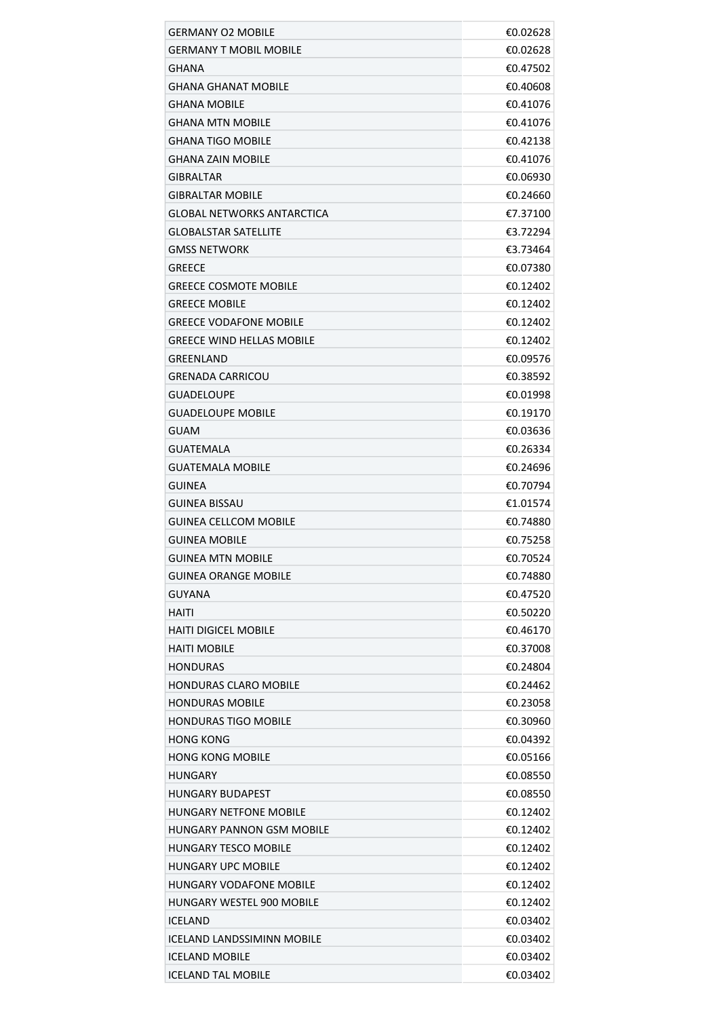| <b>GERMANY O2 MOBILE</b>         | €0.02628 |
|----------------------------------|----------|
| <b>GERMANY T MOBIL MOBILE</b>    | €0.02628 |
| GHANA                            | €0.47502 |
| GHANA GHANAT MOBILE              | €0.40608 |
| <b>GHANA MOBILE</b>              | €0.41076 |
| <b>GHANA MTN MOBILE</b>          | €0.41076 |
| <b>GHANA TIGO MOBILE</b>         | €0.42138 |
| <b>GHANA ZAIN MOBILE</b>         | €0.41076 |
| <b>GIBRALTAR</b>                 | €0.06930 |
| <b>GIBRALTAR MOBILE</b>          | €0.24660 |
| GLOBAL NETWORKS ANTARCTICA       | €7.37100 |
| <b>GLOBALSTAR SATELLITE</b>      | €3.72294 |
| <b>GMSS NETWORK</b>              | €3.73464 |
| GREECE                           | €0.07380 |
| <b>GREECE COSMOTE MOBILE</b>     | €0.12402 |
| <b>GREECE MOBILE</b>             | €0.12402 |
| <b>GREECE VODAFONE MOBILE</b>    | €0.12402 |
| <b>GREECE WIND HELLAS MOBILE</b> | €0.12402 |
| GREENLAND                        | €0.09576 |
| <b>GRENADA CARRICOU</b>          | €0.38592 |
| <b>GUADELOUPE</b>                | €0.01998 |
| <b>GUADELOUPE MOBILE</b>         | €0.19170 |
| GUAM                             | €0.03636 |
| GUATEMALA                        | €0.26334 |
| <b>GUATEMALA MOBILE</b>          | €0.24696 |
| GUINEA                           | €0.70794 |
| GUINEA BISSAU                    | €1.01574 |
| GUINEA CELLCOM MOBILE            | €0.74880 |
| <b>GUINEA MOBILE</b>             | €0.75258 |
| <b>GUINEA MTN MOBILE</b>         | €0.70524 |
| GUINEA ORANGE MOBILE             | €0.74880 |
| GUYANA                           | €0.47520 |
| HAITI                            | €0.50220 |
| <b>HAITI DIGICEL MOBILE</b>      | €0.46170 |
| <b>HAITI MOBILE</b>              | €0.37008 |
| <b>HONDURAS</b>                  | €0.24804 |
| <b>HONDURAS CLARO MOBILE</b>     | €0.24462 |
| <b>HONDURAS MOBILE</b>           | €0.23058 |
| <b>HONDURAS TIGO MOBILE</b>      | €0.30960 |
| HONG KONG                        | €0.04392 |
| <b>HONG KONG MOBILE</b>          | €0.05166 |
| <b>HUNGARY</b>                   | €0.08550 |
| <b>HUNGARY BUDAPEST</b>          | €0.08550 |
| HUNGARY NETFONE MOBILE           | €0.12402 |
| HUNGARY PANNON GSM MOBILE        | €0.12402 |
| HUNGARY TESCO MOBILE             | €0.12402 |
| <b>HUNGARY UPC MOBILE</b>        | €0.12402 |
| HUNGARY VODAFONE MOBILE          | €0.12402 |
|                                  |          |
| HUNGARY WESTEL 900 MOBILE        | €0.12402 |
| <b>ICELAND</b>                   | €0.03402 |
| ICELAND LANDSSIMINN MOBILE       | €0.03402 |
| <b>ICELAND MOBILE</b>            | €0.03402 |
| <b>ICELAND TAL MOBILE</b>        | €0.03402 |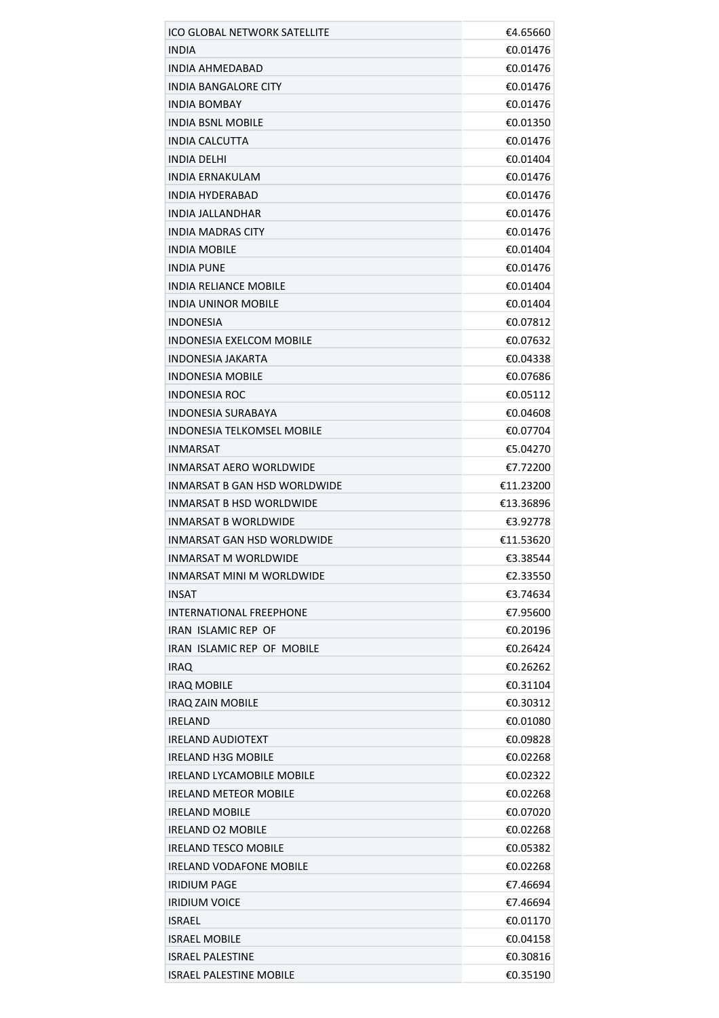| INDIA<br>€0.01476<br>INDIA AHMEDABAD<br>€0.01476<br>INDIA BANGALORE CITY<br>€0.01476<br><b>INDIA BOMBAY</b><br>€0.01476<br>INDIA BSNL MOBILE<br>€0.01350<br>INDIA CALCUTTA<br>€0.01476<br>INDIA DELHI<br>€0.01404<br>INDIA ERNAKULAM<br>€0.01476<br><b>INDIA HYDERABAD</b><br>€0.01476<br>INDIA JALLANDHAR<br>€0.01476<br>INDIA MADRAS CITY<br>€0.01476<br>INDIA MOBILE<br>€0.01404<br><b>INDIA PUNE</b><br>€0.01476<br><b>INDIA RELIANCE MOBILE</b><br>€0.01404<br>INDIA UNINOR MOBILE<br>€0.01404<br>INDONESIA<br>€0.07812<br>INDONESIA EXELCOM MOBILE<br>€0.07632<br>INDONESIA JAKARTA<br>€0.04338<br>INDONESIA MOBILE<br>€0.07686<br>INDONESIA ROC<br>€0.05112<br>INDONESIA SURABAYA<br>€0.04608<br>INDONESIA TELKOMSEL MOBILE<br>€0.07704<br>INMARSAT<br>€5.04270<br>INMARSAT AERO WORLDWIDE<br>€7.72200<br>INMARSAT B GAN HSD WORLDWIDE<br>€11.23200<br>INMARSAT B HSD WORLDWIDE<br>€13.36896<br>INMARSAT B WORLDWIDE<br>€3.92778<br>INMARSAT GAN HSD WORLDWIDE<br>€11.53620<br>INMARSAT M WORLDWIDE<br>€3.38544<br>INMARSAT MINI M WORLDWIDE<br>€2.33550<br>INSAT<br>€3.74634<br>INTERNATIONAL FREEPHONE<br>€7.95600<br>IRAN ISLAMIC REP OF<br>€0.20196<br>IRAN ISLAMIC REP OF MOBILE<br>€0.26424<br>IRAQ<br>€0.26262<br><b>IRAQ MOBILE</b><br>€0.31104<br>IRAQ ZAIN MOBILE<br>€0.30312<br>IRELAND<br>€0.01080<br>IRELAND AUDIOTEXT<br>€0.09828<br>IRELAND H3G MOBILE<br>€0.02268<br>IRELAND LYCAMOBILE MOBILE<br>€0.02322<br>IRELAND METEOR MOBILE<br>€0.02268<br><b>IRELAND MOBILE</b><br>€0.07020<br>IRELAND O2 MOBILE<br>€0.02268<br>IRELAND TESCO MOBILE<br>€0.05382<br>IRELAND VODAFONE MOBILE<br>€0.02268<br>IRIDIUM PAGE<br>€7.46694<br>IRIDIUM VOICE<br>€7.46694<br><b>ISRAEL</b><br>€0.01170<br>ISRAEL MOBILE<br>€0.04158<br><b>ISRAEL PALESTINE</b><br>€0.30816<br><b>ISRAEL PALESTINE MOBILE</b><br>€0.35190 | ICO GLOBAL NETWORK SATELLITE | €4.65660 |
|---------------------------------------------------------------------------------------------------------------------------------------------------------------------------------------------------------------------------------------------------------------------------------------------------------------------------------------------------------------------------------------------------------------------------------------------------------------------------------------------------------------------------------------------------------------------------------------------------------------------------------------------------------------------------------------------------------------------------------------------------------------------------------------------------------------------------------------------------------------------------------------------------------------------------------------------------------------------------------------------------------------------------------------------------------------------------------------------------------------------------------------------------------------------------------------------------------------------------------------------------------------------------------------------------------------------------------------------------------------------------------------------------------------------------------------------------------------------------------------------------------------------------------------------------------------------------------------------------------------------------------------------------------------------------------------------------------------------------------------------------------------------------------------------------------------------------------|------------------------------|----------|
|                                                                                                                                                                                                                                                                                                                                                                                                                                                                                                                                                                                                                                                                                                                                                                                                                                                                                                                                                                                                                                                                                                                                                                                                                                                                                                                                                                                                                                                                                                                                                                                                                                                                                                                                                                                                                                 |                              |          |
|                                                                                                                                                                                                                                                                                                                                                                                                                                                                                                                                                                                                                                                                                                                                                                                                                                                                                                                                                                                                                                                                                                                                                                                                                                                                                                                                                                                                                                                                                                                                                                                                                                                                                                                                                                                                                                 |                              |          |
|                                                                                                                                                                                                                                                                                                                                                                                                                                                                                                                                                                                                                                                                                                                                                                                                                                                                                                                                                                                                                                                                                                                                                                                                                                                                                                                                                                                                                                                                                                                                                                                                                                                                                                                                                                                                                                 |                              |          |
|                                                                                                                                                                                                                                                                                                                                                                                                                                                                                                                                                                                                                                                                                                                                                                                                                                                                                                                                                                                                                                                                                                                                                                                                                                                                                                                                                                                                                                                                                                                                                                                                                                                                                                                                                                                                                                 |                              |          |
|                                                                                                                                                                                                                                                                                                                                                                                                                                                                                                                                                                                                                                                                                                                                                                                                                                                                                                                                                                                                                                                                                                                                                                                                                                                                                                                                                                                                                                                                                                                                                                                                                                                                                                                                                                                                                                 |                              |          |
|                                                                                                                                                                                                                                                                                                                                                                                                                                                                                                                                                                                                                                                                                                                                                                                                                                                                                                                                                                                                                                                                                                                                                                                                                                                                                                                                                                                                                                                                                                                                                                                                                                                                                                                                                                                                                                 |                              |          |
|                                                                                                                                                                                                                                                                                                                                                                                                                                                                                                                                                                                                                                                                                                                                                                                                                                                                                                                                                                                                                                                                                                                                                                                                                                                                                                                                                                                                                                                                                                                                                                                                                                                                                                                                                                                                                                 |                              |          |
|                                                                                                                                                                                                                                                                                                                                                                                                                                                                                                                                                                                                                                                                                                                                                                                                                                                                                                                                                                                                                                                                                                                                                                                                                                                                                                                                                                                                                                                                                                                                                                                                                                                                                                                                                                                                                                 |                              |          |
|                                                                                                                                                                                                                                                                                                                                                                                                                                                                                                                                                                                                                                                                                                                                                                                                                                                                                                                                                                                                                                                                                                                                                                                                                                                                                                                                                                                                                                                                                                                                                                                                                                                                                                                                                                                                                                 |                              |          |
|                                                                                                                                                                                                                                                                                                                                                                                                                                                                                                                                                                                                                                                                                                                                                                                                                                                                                                                                                                                                                                                                                                                                                                                                                                                                                                                                                                                                                                                                                                                                                                                                                                                                                                                                                                                                                                 |                              |          |
|                                                                                                                                                                                                                                                                                                                                                                                                                                                                                                                                                                                                                                                                                                                                                                                                                                                                                                                                                                                                                                                                                                                                                                                                                                                                                                                                                                                                                                                                                                                                                                                                                                                                                                                                                                                                                                 |                              |          |
|                                                                                                                                                                                                                                                                                                                                                                                                                                                                                                                                                                                                                                                                                                                                                                                                                                                                                                                                                                                                                                                                                                                                                                                                                                                                                                                                                                                                                                                                                                                                                                                                                                                                                                                                                                                                                                 |                              |          |
|                                                                                                                                                                                                                                                                                                                                                                                                                                                                                                                                                                                                                                                                                                                                                                                                                                                                                                                                                                                                                                                                                                                                                                                                                                                                                                                                                                                                                                                                                                                                                                                                                                                                                                                                                                                                                                 |                              |          |
|                                                                                                                                                                                                                                                                                                                                                                                                                                                                                                                                                                                                                                                                                                                                                                                                                                                                                                                                                                                                                                                                                                                                                                                                                                                                                                                                                                                                                                                                                                                                                                                                                                                                                                                                                                                                                                 |                              |          |
|                                                                                                                                                                                                                                                                                                                                                                                                                                                                                                                                                                                                                                                                                                                                                                                                                                                                                                                                                                                                                                                                                                                                                                                                                                                                                                                                                                                                                                                                                                                                                                                                                                                                                                                                                                                                                                 |                              |          |
|                                                                                                                                                                                                                                                                                                                                                                                                                                                                                                                                                                                                                                                                                                                                                                                                                                                                                                                                                                                                                                                                                                                                                                                                                                                                                                                                                                                                                                                                                                                                                                                                                                                                                                                                                                                                                                 |                              |          |
|                                                                                                                                                                                                                                                                                                                                                                                                                                                                                                                                                                                                                                                                                                                                                                                                                                                                                                                                                                                                                                                                                                                                                                                                                                                                                                                                                                                                                                                                                                                                                                                                                                                                                                                                                                                                                                 |                              |          |
|                                                                                                                                                                                                                                                                                                                                                                                                                                                                                                                                                                                                                                                                                                                                                                                                                                                                                                                                                                                                                                                                                                                                                                                                                                                                                                                                                                                                                                                                                                                                                                                                                                                                                                                                                                                                                                 |                              |          |
|                                                                                                                                                                                                                                                                                                                                                                                                                                                                                                                                                                                                                                                                                                                                                                                                                                                                                                                                                                                                                                                                                                                                                                                                                                                                                                                                                                                                                                                                                                                                                                                                                                                                                                                                                                                                                                 |                              |          |
|                                                                                                                                                                                                                                                                                                                                                                                                                                                                                                                                                                                                                                                                                                                                                                                                                                                                                                                                                                                                                                                                                                                                                                                                                                                                                                                                                                                                                                                                                                                                                                                                                                                                                                                                                                                                                                 |                              |          |
|                                                                                                                                                                                                                                                                                                                                                                                                                                                                                                                                                                                                                                                                                                                                                                                                                                                                                                                                                                                                                                                                                                                                                                                                                                                                                                                                                                                                                                                                                                                                                                                                                                                                                                                                                                                                                                 |                              |          |
|                                                                                                                                                                                                                                                                                                                                                                                                                                                                                                                                                                                                                                                                                                                                                                                                                                                                                                                                                                                                                                                                                                                                                                                                                                                                                                                                                                                                                                                                                                                                                                                                                                                                                                                                                                                                                                 |                              |          |
|                                                                                                                                                                                                                                                                                                                                                                                                                                                                                                                                                                                                                                                                                                                                                                                                                                                                                                                                                                                                                                                                                                                                                                                                                                                                                                                                                                                                                                                                                                                                                                                                                                                                                                                                                                                                                                 |                              |          |
|                                                                                                                                                                                                                                                                                                                                                                                                                                                                                                                                                                                                                                                                                                                                                                                                                                                                                                                                                                                                                                                                                                                                                                                                                                                                                                                                                                                                                                                                                                                                                                                                                                                                                                                                                                                                                                 |                              |          |
|                                                                                                                                                                                                                                                                                                                                                                                                                                                                                                                                                                                                                                                                                                                                                                                                                                                                                                                                                                                                                                                                                                                                                                                                                                                                                                                                                                                                                                                                                                                                                                                                                                                                                                                                                                                                                                 |                              |          |
|                                                                                                                                                                                                                                                                                                                                                                                                                                                                                                                                                                                                                                                                                                                                                                                                                                                                                                                                                                                                                                                                                                                                                                                                                                                                                                                                                                                                                                                                                                                                                                                                                                                                                                                                                                                                                                 |                              |          |
|                                                                                                                                                                                                                                                                                                                                                                                                                                                                                                                                                                                                                                                                                                                                                                                                                                                                                                                                                                                                                                                                                                                                                                                                                                                                                                                                                                                                                                                                                                                                                                                                                                                                                                                                                                                                                                 |                              |          |
|                                                                                                                                                                                                                                                                                                                                                                                                                                                                                                                                                                                                                                                                                                                                                                                                                                                                                                                                                                                                                                                                                                                                                                                                                                                                                                                                                                                                                                                                                                                                                                                                                                                                                                                                                                                                                                 |                              |          |
|                                                                                                                                                                                                                                                                                                                                                                                                                                                                                                                                                                                                                                                                                                                                                                                                                                                                                                                                                                                                                                                                                                                                                                                                                                                                                                                                                                                                                                                                                                                                                                                                                                                                                                                                                                                                                                 |                              |          |
|                                                                                                                                                                                                                                                                                                                                                                                                                                                                                                                                                                                                                                                                                                                                                                                                                                                                                                                                                                                                                                                                                                                                                                                                                                                                                                                                                                                                                                                                                                                                                                                                                                                                                                                                                                                                                                 |                              |          |
|                                                                                                                                                                                                                                                                                                                                                                                                                                                                                                                                                                                                                                                                                                                                                                                                                                                                                                                                                                                                                                                                                                                                                                                                                                                                                                                                                                                                                                                                                                                                                                                                                                                                                                                                                                                                                                 |                              |          |
|                                                                                                                                                                                                                                                                                                                                                                                                                                                                                                                                                                                                                                                                                                                                                                                                                                                                                                                                                                                                                                                                                                                                                                                                                                                                                                                                                                                                                                                                                                                                                                                                                                                                                                                                                                                                                                 |                              |          |
|                                                                                                                                                                                                                                                                                                                                                                                                                                                                                                                                                                                                                                                                                                                                                                                                                                                                                                                                                                                                                                                                                                                                                                                                                                                                                                                                                                                                                                                                                                                                                                                                                                                                                                                                                                                                                                 |                              |          |
|                                                                                                                                                                                                                                                                                                                                                                                                                                                                                                                                                                                                                                                                                                                                                                                                                                                                                                                                                                                                                                                                                                                                                                                                                                                                                                                                                                                                                                                                                                                                                                                                                                                                                                                                                                                                                                 |                              |          |
|                                                                                                                                                                                                                                                                                                                                                                                                                                                                                                                                                                                                                                                                                                                                                                                                                                                                                                                                                                                                                                                                                                                                                                                                                                                                                                                                                                                                                                                                                                                                                                                                                                                                                                                                                                                                                                 |                              |          |
|                                                                                                                                                                                                                                                                                                                                                                                                                                                                                                                                                                                                                                                                                                                                                                                                                                                                                                                                                                                                                                                                                                                                                                                                                                                                                                                                                                                                                                                                                                                                                                                                                                                                                                                                                                                                                                 |                              |          |
|                                                                                                                                                                                                                                                                                                                                                                                                                                                                                                                                                                                                                                                                                                                                                                                                                                                                                                                                                                                                                                                                                                                                                                                                                                                                                                                                                                                                                                                                                                                                                                                                                                                                                                                                                                                                                                 |                              |          |
|                                                                                                                                                                                                                                                                                                                                                                                                                                                                                                                                                                                                                                                                                                                                                                                                                                                                                                                                                                                                                                                                                                                                                                                                                                                                                                                                                                                                                                                                                                                                                                                                                                                                                                                                                                                                                                 |                              |          |
|                                                                                                                                                                                                                                                                                                                                                                                                                                                                                                                                                                                                                                                                                                                                                                                                                                                                                                                                                                                                                                                                                                                                                                                                                                                                                                                                                                                                                                                                                                                                                                                                                                                                                                                                                                                                                                 |                              |          |
|                                                                                                                                                                                                                                                                                                                                                                                                                                                                                                                                                                                                                                                                                                                                                                                                                                                                                                                                                                                                                                                                                                                                                                                                                                                                                                                                                                                                                                                                                                                                                                                                                                                                                                                                                                                                                                 |                              |          |
|                                                                                                                                                                                                                                                                                                                                                                                                                                                                                                                                                                                                                                                                                                                                                                                                                                                                                                                                                                                                                                                                                                                                                                                                                                                                                                                                                                                                                                                                                                                                                                                                                                                                                                                                                                                                                                 |                              |          |
|                                                                                                                                                                                                                                                                                                                                                                                                                                                                                                                                                                                                                                                                                                                                                                                                                                                                                                                                                                                                                                                                                                                                                                                                                                                                                                                                                                                                                                                                                                                                                                                                                                                                                                                                                                                                                                 |                              |          |
|                                                                                                                                                                                                                                                                                                                                                                                                                                                                                                                                                                                                                                                                                                                                                                                                                                                                                                                                                                                                                                                                                                                                                                                                                                                                                                                                                                                                                                                                                                                                                                                                                                                                                                                                                                                                                                 |                              |          |
|                                                                                                                                                                                                                                                                                                                                                                                                                                                                                                                                                                                                                                                                                                                                                                                                                                                                                                                                                                                                                                                                                                                                                                                                                                                                                                                                                                                                                                                                                                                                                                                                                                                                                                                                                                                                                                 |                              |          |
|                                                                                                                                                                                                                                                                                                                                                                                                                                                                                                                                                                                                                                                                                                                                                                                                                                                                                                                                                                                                                                                                                                                                                                                                                                                                                                                                                                                                                                                                                                                                                                                                                                                                                                                                                                                                                                 |                              |          |
|                                                                                                                                                                                                                                                                                                                                                                                                                                                                                                                                                                                                                                                                                                                                                                                                                                                                                                                                                                                                                                                                                                                                                                                                                                                                                                                                                                                                                                                                                                                                                                                                                                                                                                                                                                                                                                 |                              |          |
|                                                                                                                                                                                                                                                                                                                                                                                                                                                                                                                                                                                                                                                                                                                                                                                                                                                                                                                                                                                                                                                                                                                                                                                                                                                                                                                                                                                                                                                                                                                                                                                                                                                                                                                                                                                                                                 |                              |          |
|                                                                                                                                                                                                                                                                                                                                                                                                                                                                                                                                                                                                                                                                                                                                                                                                                                                                                                                                                                                                                                                                                                                                                                                                                                                                                                                                                                                                                                                                                                                                                                                                                                                                                                                                                                                                                                 |                              |          |
|                                                                                                                                                                                                                                                                                                                                                                                                                                                                                                                                                                                                                                                                                                                                                                                                                                                                                                                                                                                                                                                                                                                                                                                                                                                                                                                                                                                                                                                                                                                                                                                                                                                                                                                                                                                                                                 |                              |          |
|                                                                                                                                                                                                                                                                                                                                                                                                                                                                                                                                                                                                                                                                                                                                                                                                                                                                                                                                                                                                                                                                                                                                                                                                                                                                                                                                                                                                                                                                                                                                                                                                                                                                                                                                                                                                                                 |                              |          |
|                                                                                                                                                                                                                                                                                                                                                                                                                                                                                                                                                                                                                                                                                                                                                                                                                                                                                                                                                                                                                                                                                                                                                                                                                                                                                                                                                                                                                                                                                                                                                                                                                                                                                                                                                                                                                                 |                              |          |
|                                                                                                                                                                                                                                                                                                                                                                                                                                                                                                                                                                                                                                                                                                                                                                                                                                                                                                                                                                                                                                                                                                                                                                                                                                                                                                                                                                                                                                                                                                                                                                                                                                                                                                                                                                                                                                 |                              |          |
|                                                                                                                                                                                                                                                                                                                                                                                                                                                                                                                                                                                                                                                                                                                                                                                                                                                                                                                                                                                                                                                                                                                                                                                                                                                                                                                                                                                                                                                                                                                                                                                                                                                                                                                                                                                                                                 |                              |          |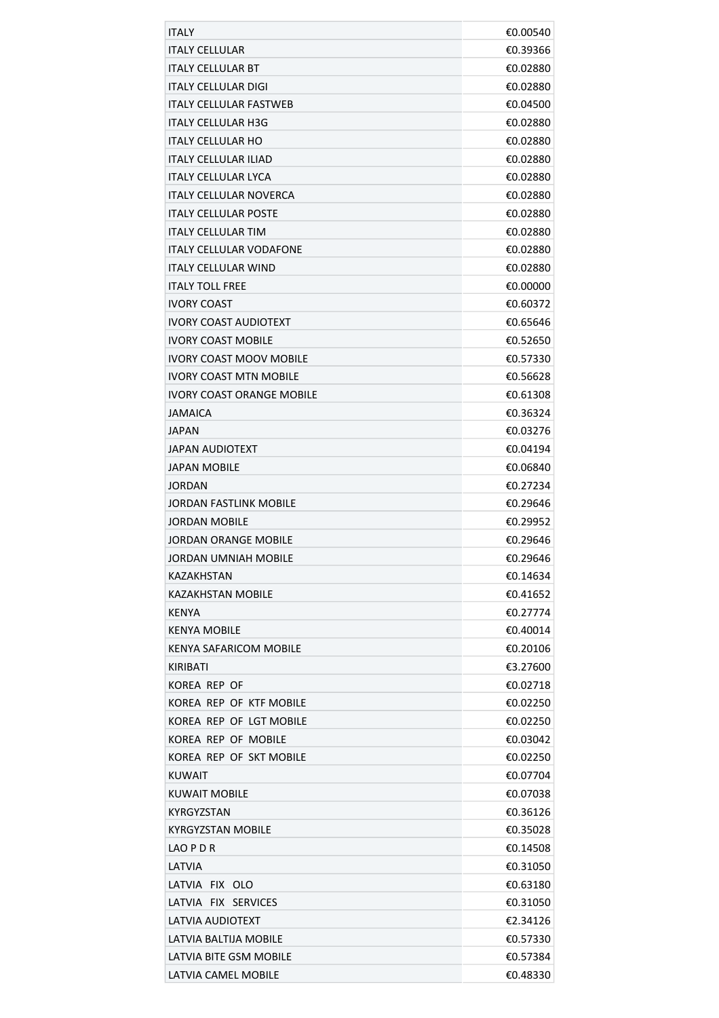| <b>ITALY CELLULAR</b><br>€0.39366<br><b>ITALY CELLULAR BT</b><br>€0.02880<br><b>ITALY CELLULAR DIGI</b><br>€0.02880<br><b>ITALY CELLULAR FASTWEB</b><br>€0.04500<br>ITALY CELLULAR H3G<br>€0.02880<br><b>ITALY CELLULAR HO</b><br>€0.02880<br>ITALY CELLULAR ILIAD<br>€0.02880<br><b>ITALY CELLULAR LYCA</b><br>€0.02880<br><b>ITALY CELLULAR NOVERCA</b><br>€0.02880<br><b>ITALY CELLULAR POSTE</b><br>€0.02880<br>ITALY CELLULAR TIM<br>€0.02880<br><b>ITALY CELLULAR VODAFONE</b><br>€0.02880<br>ITALY CELLULAR WIND<br>€0.02880<br><b>ITALY TOLL FREE</b><br>€0.00000<br><b>IVORY COAST</b><br>€0.60372<br><b>IVORY COAST AUDIOTEXT</b><br>€0.65646<br><b>IVORY COAST MOBILE</b><br>€0.52650<br><b>IVORY COAST MOOV MOBILE</b><br>€0.57330<br>IVORY COAST MTN MOBILE<br>€0.56628<br>IVORY COAST ORANGE MOBILE<br>€0.61308<br>JAMAICA<br>€0.36324<br><b>JAPAN</b><br>€0.03276<br>JAPAN AUDIOTEXT<br>€0.04194<br>JAPAN MOBILE<br>€0.06840<br>JORDAN<br>€0.27234<br>JORDAN FASTLINK MOBILE<br>€0.29646<br>JORDAN MOBILE<br>€0.29952<br>JORDAN ORANGE MOBILE<br>€0.29646<br>JORDAN UMNIAH MOBILE<br>€0.29646<br>KAZAKHSTAN<br>€0.14634<br>KAZAKHSTAN MOBILE<br>€0.41652<br><b>KENYA</b><br>€0.27774<br><b>KENYA MOBILE</b><br>€0.40014<br>KENYA SAFARICOM MOBILE<br>€0.20106<br>KIRIBATI<br>€3.27600<br>KOREA REP OF<br>€0.02718<br>KOREA REP OF KTF MOBILE<br>€0.02250<br>KOREA REP OF LGT MOBILE<br>€0.02250<br>KOREA REP OF MOBILE<br>€0.03042<br>KOREA REP OF SKT MOBILE<br>€0.02250<br><b>KUWAIT</b><br>€0.07704<br>KUWAIT MOBILE<br>€0.07038<br>KYRGYZSTAN<br>€0.36126<br>KYRGYZSTAN MOBILE<br>€0.35028<br>LAO P D R<br>€0.14508<br>LATVIA<br>€0.31050<br>LATVIA FIX OLO<br>€0.63180<br>LATVIA FIX SERVICES<br>€0.31050<br>LATVIA AUDIOTEXT<br>€2.34126<br>LATVIA BALTIJA MOBILE<br>€0.57330<br>LATVIA BITE GSM MOBILE<br>€0.57384<br>LATVIA CAMEL MOBILE<br>€0.48330 | <b>ITALY</b> | €0.00540 |
|-----------------------------------------------------------------------------------------------------------------------------------------------------------------------------------------------------------------------------------------------------------------------------------------------------------------------------------------------------------------------------------------------------------------------------------------------------------------------------------------------------------------------------------------------------------------------------------------------------------------------------------------------------------------------------------------------------------------------------------------------------------------------------------------------------------------------------------------------------------------------------------------------------------------------------------------------------------------------------------------------------------------------------------------------------------------------------------------------------------------------------------------------------------------------------------------------------------------------------------------------------------------------------------------------------------------------------------------------------------------------------------------------------------------------------------------------------------------------------------------------------------------------------------------------------------------------------------------------------------------------------------------------------------------------------------------------------------------------------------------------------------------------------------------------------------------------------------------------------------------------------|--------------|----------|
|                                                                                                                                                                                                                                                                                                                                                                                                                                                                                                                                                                                                                                                                                                                                                                                                                                                                                                                                                                                                                                                                                                                                                                                                                                                                                                                                                                                                                                                                                                                                                                                                                                                                                                                                                                                                                                                                             |              |          |
|                                                                                                                                                                                                                                                                                                                                                                                                                                                                                                                                                                                                                                                                                                                                                                                                                                                                                                                                                                                                                                                                                                                                                                                                                                                                                                                                                                                                                                                                                                                                                                                                                                                                                                                                                                                                                                                                             |              |          |
|                                                                                                                                                                                                                                                                                                                                                                                                                                                                                                                                                                                                                                                                                                                                                                                                                                                                                                                                                                                                                                                                                                                                                                                                                                                                                                                                                                                                                                                                                                                                                                                                                                                                                                                                                                                                                                                                             |              |          |
|                                                                                                                                                                                                                                                                                                                                                                                                                                                                                                                                                                                                                                                                                                                                                                                                                                                                                                                                                                                                                                                                                                                                                                                                                                                                                                                                                                                                                                                                                                                                                                                                                                                                                                                                                                                                                                                                             |              |          |
|                                                                                                                                                                                                                                                                                                                                                                                                                                                                                                                                                                                                                                                                                                                                                                                                                                                                                                                                                                                                                                                                                                                                                                                                                                                                                                                                                                                                                                                                                                                                                                                                                                                                                                                                                                                                                                                                             |              |          |
|                                                                                                                                                                                                                                                                                                                                                                                                                                                                                                                                                                                                                                                                                                                                                                                                                                                                                                                                                                                                                                                                                                                                                                                                                                                                                                                                                                                                                                                                                                                                                                                                                                                                                                                                                                                                                                                                             |              |          |
|                                                                                                                                                                                                                                                                                                                                                                                                                                                                                                                                                                                                                                                                                                                                                                                                                                                                                                                                                                                                                                                                                                                                                                                                                                                                                                                                                                                                                                                                                                                                                                                                                                                                                                                                                                                                                                                                             |              |          |
|                                                                                                                                                                                                                                                                                                                                                                                                                                                                                                                                                                                                                                                                                                                                                                                                                                                                                                                                                                                                                                                                                                                                                                                                                                                                                                                                                                                                                                                                                                                                                                                                                                                                                                                                                                                                                                                                             |              |          |
|                                                                                                                                                                                                                                                                                                                                                                                                                                                                                                                                                                                                                                                                                                                                                                                                                                                                                                                                                                                                                                                                                                                                                                                                                                                                                                                                                                                                                                                                                                                                                                                                                                                                                                                                                                                                                                                                             |              |          |
|                                                                                                                                                                                                                                                                                                                                                                                                                                                                                                                                                                                                                                                                                                                                                                                                                                                                                                                                                                                                                                                                                                                                                                                                                                                                                                                                                                                                                                                                                                                                                                                                                                                                                                                                                                                                                                                                             |              |          |
|                                                                                                                                                                                                                                                                                                                                                                                                                                                                                                                                                                                                                                                                                                                                                                                                                                                                                                                                                                                                                                                                                                                                                                                                                                                                                                                                                                                                                                                                                                                                                                                                                                                                                                                                                                                                                                                                             |              |          |
|                                                                                                                                                                                                                                                                                                                                                                                                                                                                                                                                                                                                                                                                                                                                                                                                                                                                                                                                                                                                                                                                                                                                                                                                                                                                                                                                                                                                                                                                                                                                                                                                                                                                                                                                                                                                                                                                             |              |          |
|                                                                                                                                                                                                                                                                                                                                                                                                                                                                                                                                                                                                                                                                                                                                                                                                                                                                                                                                                                                                                                                                                                                                                                                                                                                                                                                                                                                                                                                                                                                                                                                                                                                                                                                                                                                                                                                                             |              |          |
|                                                                                                                                                                                                                                                                                                                                                                                                                                                                                                                                                                                                                                                                                                                                                                                                                                                                                                                                                                                                                                                                                                                                                                                                                                                                                                                                                                                                                                                                                                                                                                                                                                                                                                                                                                                                                                                                             |              |          |
|                                                                                                                                                                                                                                                                                                                                                                                                                                                                                                                                                                                                                                                                                                                                                                                                                                                                                                                                                                                                                                                                                                                                                                                                                                                                                                                                                                                                                                                                                                                                                                                                                                                                                                                                                                                                                                                                             |              |          |
|                                                                                                                                                                                                                                                                                                                                                                                                                                                                                                                                                                                                                                                                                                                                                                                                                                                                                                                                                                                                                                                                                                                                                                                                                                                                                                                                                                                                                                                                                                                                                                                                                                                                                                                                                                                                                                                                             |              |          |
|                                                                                                                                                                                                                                                                                                                                                                                                                                                                                                                                                                                                                                                                                                                                                                                                                                                                                                                                                                                                                                                                                                                                                                                                                                                                                                                                                                                                                                                                                                                                                                                                                                                                                                                                                                                                                                                                             |              |          |
|                                                                                                                                                                                                                                                                                                                                                                                                                                                                                                                                                                                                                                                                                                                                                                                                                                                                                                                                                                                                                                                                                                                                                                                                                                                                                                                                                                                                                                                                                                                                                                                                                                                                                                                                                                                                                                                                             |              |          |
|                                                                                                                                                                                                                                                                                                                                                                                                                                                                                                                                                                                                                                                                                                                                                                                                                                                                                                                                                                                                                                                                                                                                                                                                                                                                                                                                                                                                                                                                                                                                                                                                                                                                                                                                                                                                                                                                             |              |          |
|                                                                                                                                                                                                                                                                                                                                                                                                                                                                                                                                                                                                                                                                                                                                                                                                                                                                                                                                                                                                                                                                                                                                                                                                                                                                                                                                                                                                                                                                                                                                                                                                                                                                                                                                                                                                                                                                             |              |          |
|                                                                                                                                                                                                                                                                                                                                                                                                                                                                                                                                                                                                                                                                                                                                                                                                                                                                                                                                                                                                                                                                                                                                                                                                                                                                                                                                                                                                                                                                                                                                                                                                                                                                                                                                                                                                                                                                             |              |          |
|                                                                                                                                                                                                                                                                                                                                                                                                                                                                                                                                                                                                                                                                                                                                                                                                                                                                                                                                                                                                                                                                                                                                                                                                                                                                                                                                                                                                                                                                                                                                                                                                                                                                                                                                                                                                                                                                             |              |          |
|                                                                                                                                                                                                                                                                                                                                                                                                                                                                                                                                                                                                                                                                                                                                                                                                                                                                                                                                                                                                                                                                                                                                                                                                                                                                                                                                                                                                                                                                                                                                                                                                                                                                                                                                                                                                                                                                             |              |          |
|                                                                                                                                                                                                                                                                                                                                                                                                                                                                                                                                                                                                                                                                                                                                                                                                                                                                                                                                                                                                                                                                                                                                                                                                                                                                                                                                                                                                                                                                                                                                                                                                                                                                                                                                                                                                                                                                             |              |          |
|                                                                                                                                                                                                                                                                                                                                                                                                                                                                                                                                                                                                                                                                                                                                                                                                                                                                                                                                                                                                                                                                                                                                                                                                                                                                                                                                                                                                                                                                                                                                                                                                                                                                                                                                                                                                                                                                             |              |          |
|                                                                                                                                                                                                                                                                                                                                                                                                                                                                                                                                                                                                                                                                                                                                                                                                                                                                                                                                                                                                                                                                                                                                                                                                                                                                                                                                                                                                                                                                                                                                                                                                                                                                                                                                                                                                                                                                             |              |          |
|                                                                                                                                                                                                                                                                                                                                                                                                                                                                                                                                                                                                                                                                                                                                                                                                                                                                                                                                                                                                                                                                                                                                                                                                                                                                                                                                                                                                                                                                                                                                                                                                                                                                                                                                                                                                                                                                             |              |          |
|                                                                                                                                                                                                                                                                                                                                                                                                                                                                                                                                                                                                                                                                                                                                                                                                                                                                                                                                                                                                                                                                                                                                                                                                                                                                                                                                                                                                                                                                                                                                                                                                                                                                                                                                                                                                                                                                             |              |          |
|                                                                                                                                                                                                                                                                                                                                                                                                                                                                                                                                                                                                                                                                                                                                                                                                                                                                                                                                                                                                                                                                                                                                                                                                                                                                                                                                                                                                                                                                                                                                                                                                                                                                                                                                                                                                                                                                             |              |          |
|                                                                                                                                                                                                                                                                                                                                                                                                                                                                                                                                                                                                                                                                                                                                                                                                                                                                                                                                                                                                                                                                                                                                                                                                                                                                                                                                                                                                                                                                                                                                                                                                                                                                                                                                                                                                                                                                             |              |          |
|                                                                                                                                                                                                                                                                                                                                                                                                                                                                                                                                                                                                                                                                                                                                                                                                                                                                                                                                                                                                                                                                                                                                                                                                                                                                                                                                                                                                                                                                                                                                                                                                                                                                                                                                                                                                                                                                             |              |          |
|                                                                                                                                                                                                                                                                                                                                                                                                                                                                                                                                                                                                                                                                                                                                                                                                                                                                                                                                                                                                                                                                                                                                                                                                                                                                                                                                                                                                                                                                                                                                                                                                                                                                                                                                                                                                                                                                             |              |          |
|                                                                                                                                                                                                                                                                                                                                                                                                                                                                                                                                                                                                                                                                                                                                                                                                                                                                                                                                                                                                                                                                                                                                                                                                                                                                                                                                                                                                                                                                                                                                                                                                                                                                                                                                                                                                                                                                             |              |          |
|                                                                                                                                                                                                                                                                                                                                                                                                                                                                                                                                                                                                                                                                                                                                                                                                                                                                                                                                                                                                                                                                                                                                                                                                                                                                                                                                                                                                                                                                                                                                                                                                                                                                                                                                                                                                                                                                             |              |          |
|                                                                                                                                                                                                                                                                                                                                                                                                                                                                                                                                                                                                                                                                                                                                                                                                                                                                                                                                                                                                                                                                                                                                                                                                                                                                                                                                                                                                                                                                                                                                                                                                                                                                                                                                                                                                                                                                             |              |          |
|                                                                                                                                                                                                                                                                                                                                                                                                                                                                                                                                                                                                                                                                                                                                                                                                                                                                                                                                                                                                                                                                                                                                                                                                                                                                                                                                                                                                                                                                                                                                                                                                                                                                                                                                                                                                                                                                             |              |          |
|                                                                                                                                                                                                                                                                                                                                                                                                                                                                                                                                                                                                                                                                                                                                                                                                                                                                                                                                                                                                                                                                                                                                                                                                                                                                                                                                                                                                                                                                                                                                                                                                                                                                                                                                                                                                                                                                             |              |          |
|                                                                                                                                                                                                                                                                                                                                                                                                                                                                                                                                                                                                                                                                                                                                                                                                                                                                                                                                                                                                                                                                                                                                                                                                                                                                                                                                                                                                                                                                                                                                                                                                                                                                                                                                                                                                                                                                             |              |          |
|                                                                                                                                                                                                                                                                                                                                                                                                                                                                                                                                                                                                                                                                                                                                                                                                                                                                                                                                                                                                                                                                                                                                                                                                                                                                                                                                                                                                                                                                                                                                                                                                                                                                                                                                                                                                                                                                             |              |          |
|                                                                                                                                                                                                                                                                                                                                                                                                                                                                                                                                                                                                                                                                                                                                                                                                                                                                                                                                                                                                                                                                                                                                                                                                                                                                                                                                                                                                                                                                                                                                                                                                                                                                                                                                                                                                                                                                             |              |          |
|                                                                                                                                                                                                                                                                                                                                                                                                                                                                                                                                                                                                                                                                                                                                                                                                                                                                                                                                                                                                                                                                                                                                                                                                                                                                                                                                                                                                                                                                                                                                                                                                                                                                                                                                                                                                                                                                             |              |          |
|                                                                                                                                                                                                                                                                                                                                                                                                                                                                                                                                                                                                                                                                                                                                                                                                                                                                                                                                                                                                                                                                                                                                                                                                                                                                                                                                                                                                                                                                                                                                                                                                                                                                                                                                                                                                                                                                             |              |          |
|                                                                                                                                                                                                                                                                                                                                                                                                                                                                                                                                                                                                                                                                                                                                                                                                                                                                                                                                                                                                                                                                                                                                                                                                                                                                                                                                                                                                                                                                                                                                                                                                                                                                                                                                                                                                                                                                             |              |          |
|                                                                                                                                                                                                                                                                                                                                                                                                                                                                                                                                                                                                                                                                                                                                                                                                                                                                                                                                                                                                                                                                                                                                                                                                                                                                                                                                                                                                                                                                                                                                                                                                                                                                                                                                                                                                                                                                             |              |          |
|                                                                                                                                                                                                                                                                                                                                                                                                                                                                                                                                                                                                                                                                                                                                                                                                                                                                                                                                                                                                                                                                                                                                                                                                                                                                                                                                                                                                                                                                                                                                                                                                                                                                                                                                                                                                                                                                             |              |          |
|                                                                                                                                                                                                                                                                                                                                                                                                                                                                                                                                                                                                                                                                                                                                                                                                                                                                                                                                                                                                                                                                                                                                                                                                                                                                                                                                                                                                                                                                                                                                                                                                                                                                                                                                                                                                                                                                             |              |          |
|                                                                                                                                                                                                                                                                                                                                                                                                                                                                                                                                                                                                                                                                                                                                                                                                                                                                                                                                                                                                                                                                                                                                                                                                                                                                                                                                                                                                                                                                                                                                                                                                                                                                                                                                                                                                                                                                             |              |          |
|                                                                                                                                                                                                                                                                                                                                                                                                                                                                                                                                                                                                                                                                                                                                                                                                                                                                                                                                                                                                                                                                                                                                                                                                                                                                                                                                                                                                                                                                                                                                                                                                                                                                                                                                                                                                                                                                             |              |          |
|                                                                                                                                                                                                                                                                                                                                                                                                                                                                                                                                                                                                                                                                                                                                                                                                                                                                                                                                                                                                                                                                                                                                                                                                                                                                                                                                                                                                                                                                                                                                                                                                                                                                                                                                                                                                                                                                             |              |          |
|                                                                                                                                                                                                                                                                                                                                                                                                                                                                                                                                                                                                                                                                                                                                                                                                                                                                                                                                                                                                                                                                                                                                                                                                                                                                                                                                                                                                                                                                                                                                                                                                                                                                                                                                                                                                                                                                             |              |          |
|                                                                                                                                                                                                                                                                                                                                                                                                                                                                                                                                                                                                                                                                                                                                                                                                                                                                                                                                                                                                                                                                                                                                                                                                                                                                                                                                                                                                                                                                                                                                                                                                                                                                                                                                                                                                                                                                             |              |          |
|                                                                                                                                                                                                                                                                                                                                                                                                                                                                                                                                                                                                                                                                                                                                                                                                                                                                                                                                                                                                                                                                                                                                                                                                                                                                                                                                                                                                                                                                                                                                                                                                                                                                                                                                                                                                                                                                             |              |          |
|                                                                                                                                                                                                                                                                                                                                                                                                                                                                                                                                                                                                                                                                                                                                                                                                                                                                                                                                                                                                                                                                                                                                                                                                                                                                                                                                                                                                                                                                                                                                                                                                                                                                                                                                                                                                                                                                             |              |          |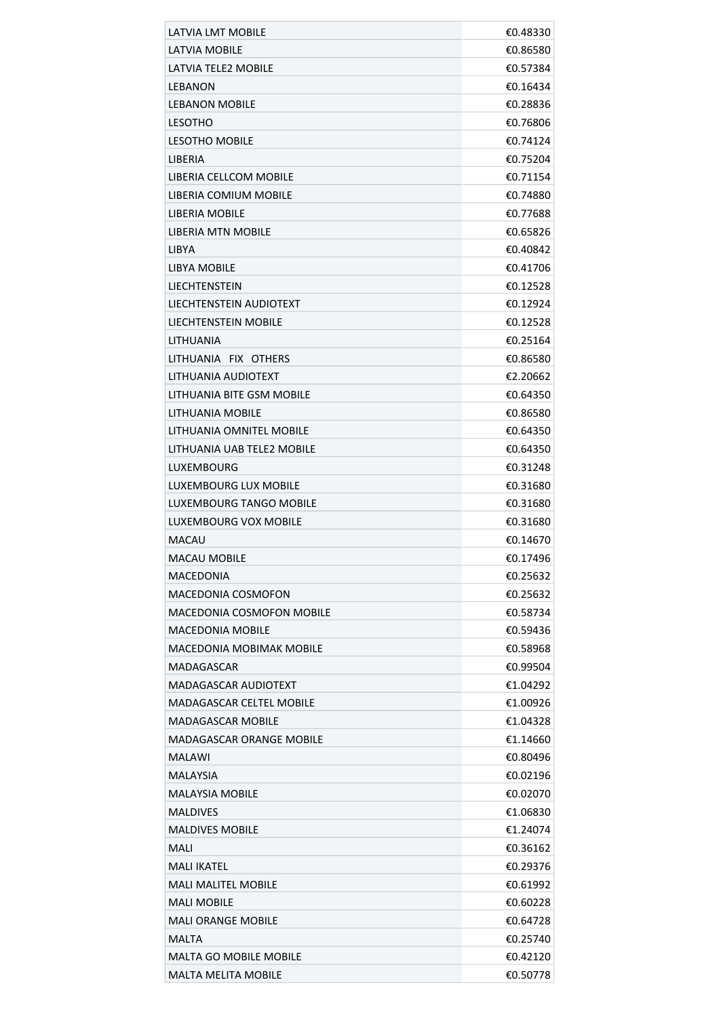| LATVIA LMT MOBILE               | €0.48330 |
|---------------------------------|----------|
| LATVIA MOBILE                   | €0.86580 |
| LATVIA TELE2 MOBILE             | €0.57384 |
| LEBANON                         | €0.16434 |
| <b>LEBANON MOBILE</b>           | €0.28836 |
| LESOTHO                         | €0.76806 |
| LESOTHO MOBILE                  | €0.74124 |
| LIBERIA                         | €0.75204 |
| LIBERIA CELLCOM MOBILE          | €0.71154 |
| LIBERIA COMIUM MOBILE           | €0.74880 |
| LIBERIA MOBILE                  | €0.77688 |
| LIBERIA MTN MOBILE              | €0.65826 |
| LIBYA                           | €0.40842 |
| LIBYA MOBILE                    | €0.41706 |
| <b>LIECHTENSTEIN</b>            | €0.12528 |
| LIECHTENSTEIN AUDIOTEXT         | €0.12924 |
| LIECHTENSTEIN MOBILE            | €0.12528 |
| LITHUANIA                       | €0.25164 |
| LITHUANIA FIX OTHERS            | €0.86580 |
| LITHUANIA AUDIOTEXT             | €2.20662 |
| LITHUANIA BITE GSM MOBILE       | €0.64350 |
| LITHUANIA MOBILE                | €0.86580 |
| LITHUANIA OMNITEL MOBILE        | €0.64350 |
| LITHUANIA UAB TELE2 MOBILE      | €0.64350 |
| LUXEMBOURG                      | €0.31248 |
| LUXEMBOURG LUX MOBILE           | €0.31680 |
| LUXEMBOURG TANGO MOBILE         | €0.31680 |
| LUXEMBOURG VOX MOBILE           | €0.31680 |
| MACAU                           | €0.14670 |
| <b>MACAU MOBILE</b>             | €0.17496 |
| MACEDONIA                       | €0.25632 |
| MACEDONIA COSMOFON              | €0.25632 |
| MACEDONIA COSMOFON MOBILE       | €0.58734 |
| <b>MACEDONIA MOBILE</b>         | €0.59436 |
| MACEDONIA MOBIMAK MOBILE        | €0.58968 |
| <b>MADAGASCAR</b>               | €0.99504 |
| MADAGASCAR AUDIOTEXT            | €1.04292 |
| <b>MADAGASCAR CELTEL MOBILE</b> | €1.00926 |
| MADAGASCAR MOBILE               | €1.04328 |
| <b>MADAGASCAR ORANGE MOBILE</b> | €1.14660 |
| <b>MALAWI</b>                   | €0.80496 |
| MALAYSIA                        | €0.02196 |
| MALAYSIA MOBILE                 | €0.02070 |
| <b>MALDIVES</b>                 | €1.06830 |
| <b>MALDIVES MOBILE</b>          | €1.24074 |
| <b>MALI</b>                     | €0.36162 |
| MALI IKATEL                     | €0.29376 |
| <b>MALI MALITEL MOBILE</b>      | €0.61992 |
| <b>MALI MOBILE</b>              | €0.60228 |
| <b>MALI ORANGE MOBILE</b>       | €0.64728 |
| MALTA                           | €0.25740 |
| MALTA GO MOBILE MOBILE          | €0.42120 |
| <b>MALTA MELITA MOBILE</b>      | €0.50778 |
|                                 |          |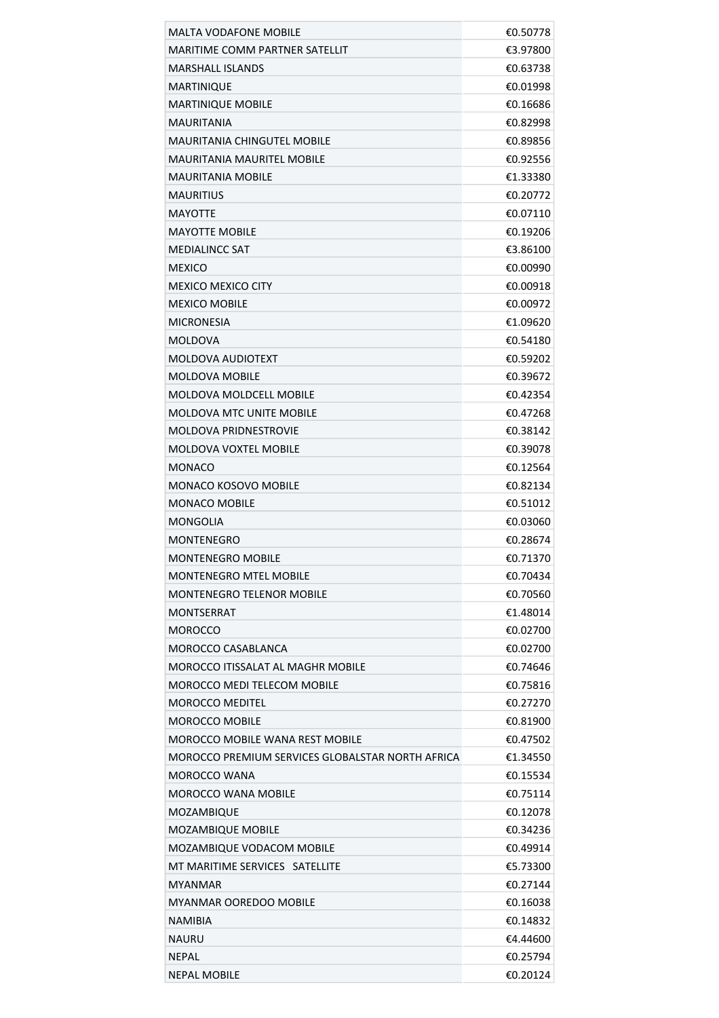| MALTA VODAFONE MOBILE                                       | €0.50778             |
|-------------------------------------------------------------|----------------------|
| MARITIME COMM PARTNER SATELLIT                              | €3.97800             |
| <b>MARSHALL ISLANDS</b>                                     | €0.63738             |
| MARTINIQUE                                                  | €0.01998             |
| <b>MARTINIQUE MOBILE</b>                                    | €0.16686             |
| MAURITANIA                                                  | €0.82998             |
| MAURITANIA CHINGUTEL MOBILE                                 | €0.89856             |
| MAURITANIA MAURITEL MOBILE                                  | €0.92556             |
| <b>MAURITANIA MOBILE</b>                                    | €1.33380             |
| <b>MAURITIUS</b>                                            | €0.20772             |
| <b>MAYOTTE</b>                                              | €0.07110             |
| MAYOTTE MOBILE                                              | €0.19206             |
| <b>MEDIALINCC SAT</b>                                       | €3.86100             |
| <b>MEXICO</b>                                               | €0.00990             |
| MEXICO MEXICO CITY                                          | €0.00918             |
| <b>MEXICO MOBILE</b>                                        | €0.00972             |
| MICRONESIA                                                  | €1.09620             |
| MOLDOVA                                                     | €0.54180             |
| MOLDOVA AUDIOTEXT                                           | €0.59202             |
| MOLDOVA MOBILE                                              | €0.39672             |
| MOLDOVA MOLDCELL MOBILE                                     | €0.42354             |
| MOLDOVA MTC UNITE MOBILE                                    | €0.47268             |
| MOLDOVA PRIDNESTROVIE                                       | €0.38142             |
| MOLDOVA VOXTEL MOBILE                                       | €0.39078             |
| <b>MONACO</b>                                               | €0.12564             |
| MONACO KOSOVO MOBILE                                        | €0.82134             |
| MONACO MOBILE                                               | €0.51012             |
| MONGOLIA                                                    | €0.03060             |
| MONTENEGRO                                                  | €0.28674             |
| <b>MONTENEGRO MOBILE</b>                                    | €0.71370             |
| <b>MONTENEGRO MTEL MOBILE</b>                               | €0.70434             |
| MONTENEGRO TELENOR MOBILE                                   | €0.70560             |
| MONTSERRAT                                                  | €1.48014             |
| MOROCCO                                                     | €0.02700             |
| MOROCCO CASABLANCA                                          | €0.02700             |
| MOROCCO ITISSALAT AL MAGHR MOBILE                           | €0.74646             |
| MOROCCO MEDI TELECOM MOBILE                                 | €0.75816             |
| MOROCCO MEDITEL                                             | €0.27270             |
| MOROCCO MOBILE                                              | €0.81900             |
| MOROCCO MOBILE WANA REST MOBILE                             | €0.47502             |
| MOROCCO PREMIUM SERVICES GLOBALSTAR NORTH AFRICA            | €1.34550             |
| MOROCCO WANA                                                | €0.15534             |
| MOROCCO WANA MOBILE                                         | €0.75114             |
| MOZAMBIQUE                                                  | €0.12078             |
| MOZAMBIQUE MOBILE                                           | €0.34236             |
|                                                             |                      |
| MOZAMBIQUE VODACOM MOBILE<br>MT MARITIME SERVICES SATELLITE | €0.49914<br>€5.73300 |
|                                                             |                      |
| <b>MYANMAR</b>                                              | €0.27144             |
| MYANMAR OOREDOO MOBILE                                      | €0.16038             |
| <b>NAMIBIA</b>                                              | €0.14832             |
| <b>NAURU</b>                                                | €4.44600             |
| NEPAL                                                       | €0.25794             |
| <b>NEPAL MOBILE</b>                                         | €0.20124             |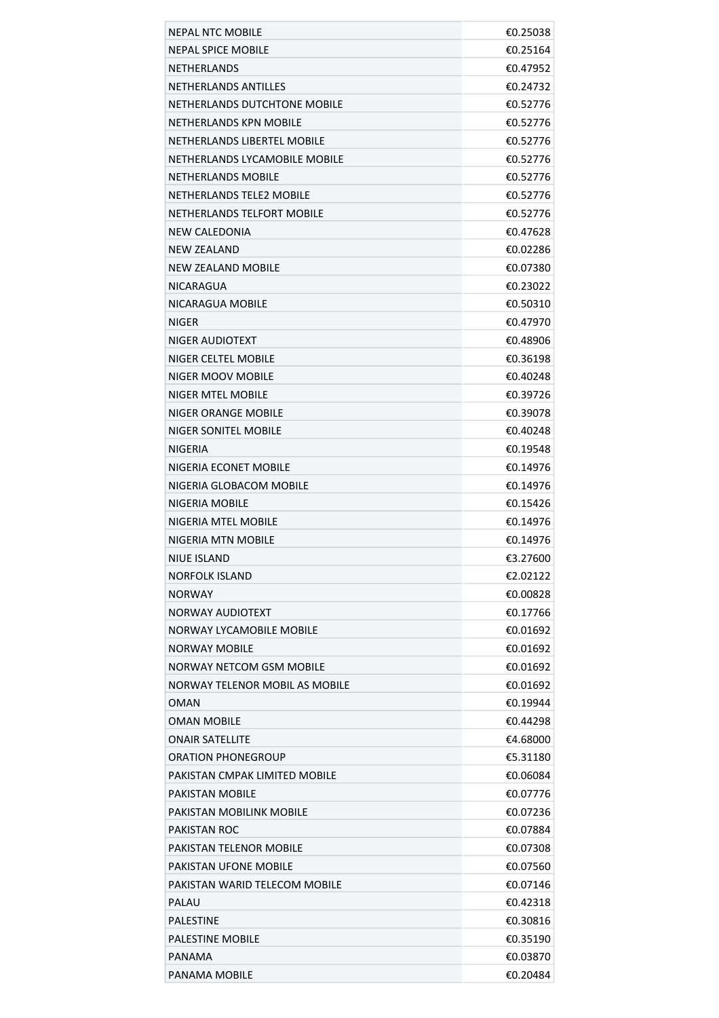| <b>NEPAL NTC MOBILE</b>         | €0.25038 |
|---------------------------------|----------|
| <b>NEPAL SPICE MOBILE</b>       | €0.25164 |
| <b>NETHERLANDS</b>              | €0.47952 |
| <b>NETHERLANDS ANTILLES</b>     | €0.24732 |
| NETHERLANDS DUTCHTONE MOBILE    | €0.52776 |
| NETHERLANDS KPN MOBILE          | €0.52776 |
| NETHERLANDS LIBERTEL MOBILE     | €0.52776 |
| NETHERLANDS LYCAMOBILE MOBILE   | €0.52776 |
| <b>NETHERLANDS MOBILE</b>       | €0.52776 |
| NETHERLANDS TELE2 MOBILE        | €0.52776 |
| NETHERLANDS TELFORT MOBILE      | €0.52776 |
| <b>NEW CALEDONIA</b>            | €0.47628 |
| <b>NEW ZEALAND</b>              | €0.02286 |
| <b>NEW ZEALAND MOBILE</b>       | €0.07380 |
| NICARAGUA                       | €0.23022 |
| NICARAGUA MOBILE                | €0.50310 |
| <b>NIGER</b>                    | €0.47970 |
| NIGER AUDIOTEXT                 | €0.48906 |
| NIGER CELTEL MOBILE             | €0.36198 |
| NIGER MOOV MOBILE               | €0.40248 |
| NIGER MTEL MOBILE               | €0.39726 |
| NIGER ORANGE MOBILE             | €0.39078 |
| NIGER SONITEL MOBILE            | €0.40248 |
| <b>NIGERIA</b>                  | €0.19548 |
| NIGERIA ECONET MOBILE           | €0.14976 |
| NIGERIA GLOBACOM MOBILE         | €0.14976 |
| NIGERIA MOBILE                  | €0.15426 |
| NIGERIA MTEL MOBILE             | €0.14976 |
| NIGERIA MTN MOBILE              | €0.14976 |
| <b>NIUE ISLAND</b>              | €3.27600 |
| <b>NORFOLK ISLAND</b>           | €2.02122 |
| <b>NORWAY</b>                   | €0.00828 |
| NORWAY AUDIOTEXT                | €0.17766 |
| <b>NORWAY LYCAMOBILE MOBILE</b> | €0.01692 |
| <b>NORWAY MOBILE</b>            | €0.01692 |
| NORWAY NETCOM GSM MOBILE        | €0.01692 |
| NORWAY TELENOR MOBIL AS MOBILE  | €0.01692 |
| <b>OMAN</b>                     | €0.19944 |
| <b>OMAN MOBILE</b>              | €0.44298 |
| <b>ONAIR SATELLITE</b>          | €4.68000 |
| <b>ORATION PHONEGROUP</b>       | €5.31180 |
| PAKISTAN CMPAK LIMITED MOBILE   | €0.06084 |
| PAKISTAN MOBILE                 | €0.07776 |
| PAKISTAN MOBILINK MOBILE        | €0.07236 |
| PAKISTAN ROC                    | €0.07884 |
| PAKISTAN TELENOR MOBILE         | €0.07308 |
| PAKISTAN UFONE MOBILE           | €0.07560 |
| PAKISTAN WARID TELECOM MOBILE   | €0.07146 |
| PALAU                           | €0.42318 |
| <b>PALESTINE</b>                | €0.30816 |
| <b>PALESTINE MOBILE</b>         | €0.35190 |
| PANAMA                          | €0.03870 |
| PANAMA MOBILE                   | €0.20484 |
|                                 |          |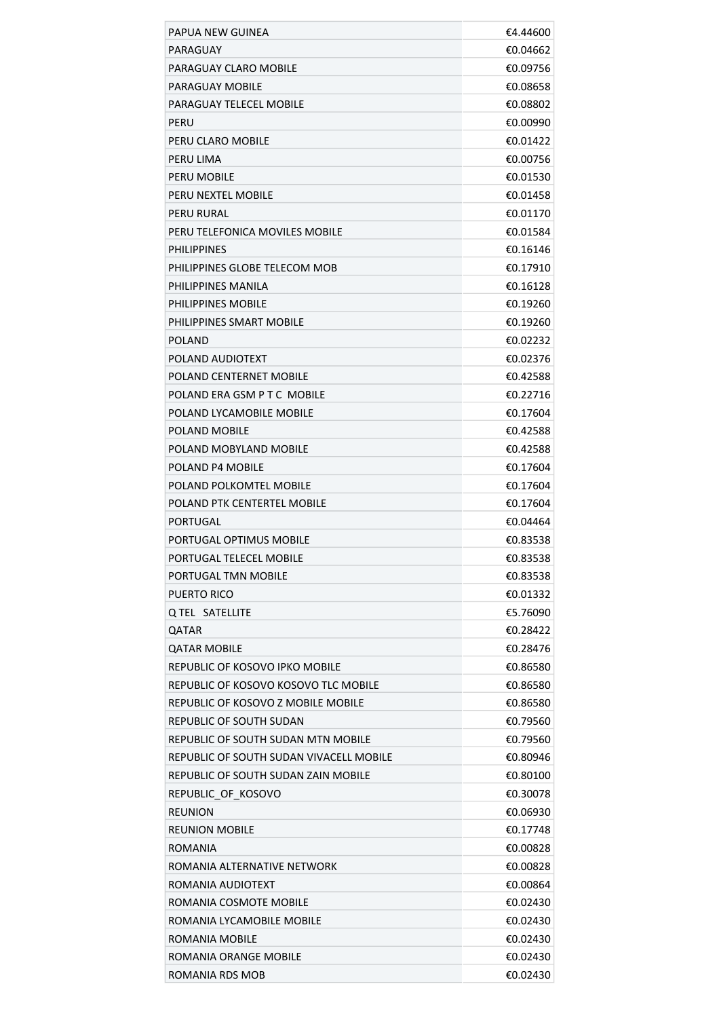| PAPUA NEW GUINEA                        | €4.44600 |
|-----------------------------------------|----------|
| PARAGUAY                                | €0.04662 |
| PARAGUAY CLARO MOBILE                   | €0.09756 |
| <b>PARAGUAY MOBILE</b>                  | €0.08658 |
| PARAGUAY TELECEL MOBILE                 | €0.08802 |
| PERU                                    | €0.00990 |
| PERU CLARO MOBILE                       | €0.01422 |
| PERU LIMA                               | €0.00756 |
| <b>PERU MOBILE</b>                      | €0.01530 |
| PERU NEXTEL MOBILE                      | €0.01458 |
| PERU RURAL                              | €0.01170 |
| PERU TELEFONICA MOVILES MOBILE          | €0.01584 |
| <b>PHILIPPINES</b>                      | €0.16146 |
| PHILIPPINES GLOBE TELECOM MOB           | €0.17910 |
| PHILIPPINES MANILA                      | €0.16128 |
| <b>PHILIPPINES MOBILE</b>               | €0.19260 |
| PHILIPPINES SMART MOBILE                | €0.19260 |
| POLAND                                  | €0.02232 |
| POLAND AUDIOTEXT                        | €0.02376 |
| POLAND CENTERNET MOBILE                 | €0.42588 |
| POLAND ERA GSM P T C MOBILE             | €0.22716 |
| POLAND LYCAMOBILE MOBILE                | €0.17604 |
| POLAND MOBILE                           | €0.42588 |
| POLAND MOBYLAND MOBILE                  | €0.42588 |
| POLAND P4 MOBILE                        | €0.17604 |
| POLAND POLKOMTEL MOBILE                 | €0.17604 |
| POLAND PTK CENTERTEL MOBILE             | €0.17604 |
| <b>PORTUGAL</b>                         | €0.04464 |
| PORTUGAL OPTIMUS MOBILE                 | €0.83538 |
| PORTUGAL TELECEL MOBILE                 | €0.83538 |
| PORTUGAL TMN MOBILE                     | €0.83538 |
| <b>PUERTO RICO</b>                      | €0.01332 |
| Q TEL SATELLITE                         | €5.76090 |
| <b>OATAR</b>                            | €0.28422 |
| <b>QATAR MOBILE</b>                     | €0.28476 |
| REPUBLIC OF KOSOVO IPKO MOBILE          | €0.86580 |
| REPUBLIC OF KOSOVO KOSOVO TLC MOBILE    | €0.86580 |
| REPUBLIC OF KOSOVO Z MOBILE MOBILE      | €0.86580 |
| REPUBLIC OF SOUTH SUDAN                 | €0.79560 |
| REPUBLIC OF SOUTH SUDAN MTN MOBILE      | €0.79560 |
| REPUBLIC OF SOUTH SUDAN VIVACELL MOBILE | €0.80946 |
| REPUBLIC OF SOUTH SUDAN ZAIN MOBILE     | €0.80100 |
| REPUBLIC OF KOSOVO                      | €0.30078 |
| REUNION                                 | €0.06930 |
| <b>REUNION MOBILE</b>                   | €0.17748 |
| ROMANIA                                 | €0.00828 |
| ROMANIA ALTERNATIVE NETWORK             |          |
|                                         | €0.00828 |
| ROMANIA AUDIOTEXT                       | €0.00864 |
| ROMANIA COSMOTE MOBILE                  | €0.02430 |
| ROMANIA LYCAMOBILE MOBILE               | €0.02430 |
| ROMANIA MOBILE                          | €0.02430 |
| ROMANIA ORANGE MOBILE                   | €0.02430 |
| ROMANIA RDS MOB                         | €0.02430 |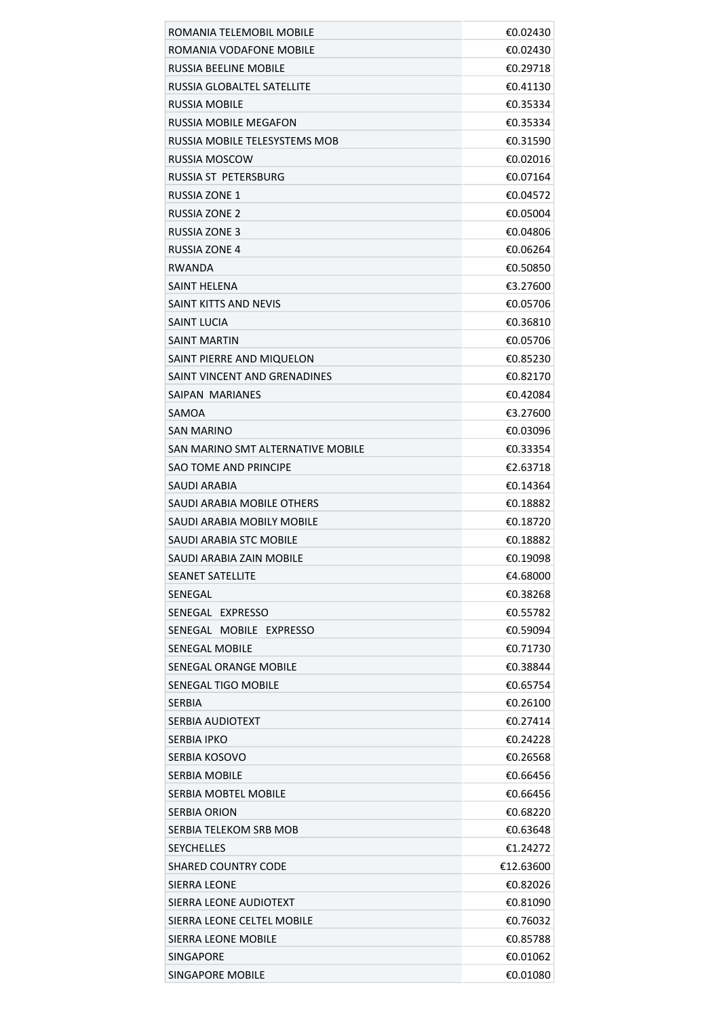| ROMANIA TELEMOBIL MOBILE          | €0.02430  |
|-----------------------------------|-----------|
| ROMANIA VODAFONE MOBILE           | €0.02430  |
| RUSSIA BEELINE MOBILE             | €0.29718  |
| RUSSIA GLOBALTEL SATELLITE        | €0.41130  |
| RUSSIA MOBILE                     | €0.35334  |
| RUSSIA MOBILE MEGAFON             | €0.35334  |
| RUSSIA MOBILE TELESYSTEMS MOB     | €0.31590  |
| RUSSIA MOSCOW                     | €0.02016  |
| RUSSIA ST PETERSBURG              | €0.07164  |
| RUSSIA ZONE 1                     | €0.04572  |
| <b>RUSSIA ZONE 2</b>              | €0.05004  |
| <b>RUSSIA ZONE 3</b>              | €0.04806  |
| RUSSIA ZONE 4                     | €0.06264  |
| <b>RWANDA</b>                     | €0.50850  |
| SAINT HELENA                      | €3.27600  |
| SAINT KITTS AND NEVIS             | €0.05706  |
| <b>SAINT LUCIA</b>                | €0.36810  |
| <b>SAINT MARTIN</b>               | €0.05706  |
| SAINT PIERRE AND MIQUELON         | €0.85230  |
| SAINT VINCENT AND GRENADINES      | €0.82170  |
| SAIPAN MARIANES                   | €0.42084  |
| SAMOA                             | €3.27600  |
| SAN MARINO                        | €0.03096  |
| SAN MARINO SMT ALTERNATIVE MOBILE | €0.33354  |
| SAO TOME AND PRINCIPE             | €2.63718  |
| SAUDI ARABIA                      | €0.14364  |
| SAUDI ARABIA MOBILE OTHERS        | €0.18882  |
| SAUDI ARABIA MOBILY MOBILE        | €0.18720  |
| SAUDI ARABIA STC MOBILE           | €0.18882  |
| SAUDI ARABIA ZAIN MOBILE          | €0.19098  |
| SEANET SATELLITE                  | €4.68000  |
| SENEGAL                           | €0.38268  |
| SENEGAL EXPRESSO                  | €0.55782  |
| SENEGAL MOBILE EXPRESSO           | €0.59094  |
| SENEGAL MOBILE                    | €0.71730  |
| <b>SENEGAL ORANGE MOBILE</b>      | €0.38844  |
| SENEGAL TIGO MOBILE               | €0.65754  |
| SERBIA                            | €0.26100  |
| SERBIA AUDIOTEXT                  | €0.27414  |
| SERBIA IPKO                       | €0.24228  |
| SERBIA KOSOVO                     | €0.26568  |
| <b>SERBIA MOBILE</b>              | €0.66456  |
| SERBIA MOBTEL MOBILE              | €0.66456  |
| SERBIA ORION                      | €0.68220  |
| SERBIA TELEKOM SRB MOB            | €0.63648  |
| <b>SEYCHELLES</b>                 | €1.24272  |
| SHARED COUNTRY CODE               | €12.63600 |
| SIERRA LEONE                      | €0.82026  |
|                                   |           |
| SIERRA LEONE AUDIOTEXT            | €0.81090  |
| SIERRA LEONE CELTEL MOBILE        | €0.76032  |
| SIERRA LEONE MOBILE               | €0.85788  |
| <b>SINGAPORE</b>                  | €0.01062  |
| SINGAPORE MOBILE                  | €0.01080  |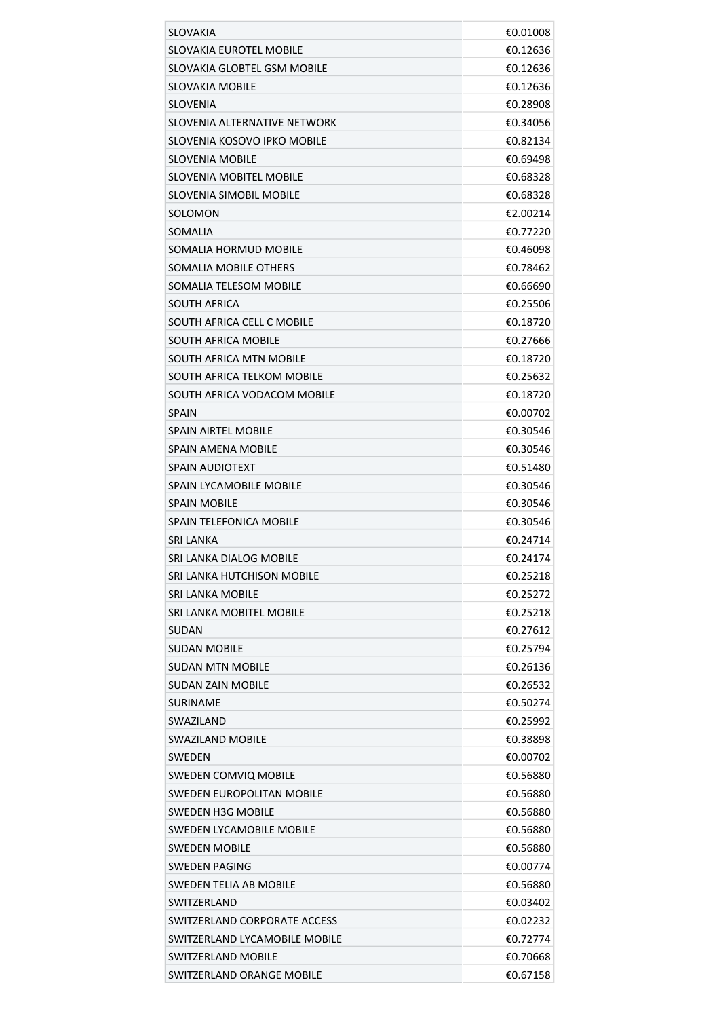| <b>SLOVAKIA</b>                | €0.01008 |
|--------------------------------|----------|
| SLOVAKIA EUROTEL MOBILE        | €0.12636 |
| SLOVAKIA GLOBTEL GSM MOBILE    | €0.12636 |
| SLOVAKIA MOBILE                | €0.12636 |
| SLOVENIA                       | €0.28908 |
| SLOVENIA ALTERNATIVE NETWORK   | €0.34056 |
| SLOVENIA KOSOVO IPKO MOBILE    | €0.82134 |
| SLOVENIA MOBILE                | €0.69498 |
| <b>SLOVENIA MOBITEL MOBILE</b> | €0.68328 |
| SLOVENIA SIMOBIL MOBILE        | €0.68328 |
| SOLOMON                        | €2.00214 |
| SOMALIA                        | €0.77220 |
| SOMALIA HORMUD MOBILE          | €0.46098 |
| SOMALIA MOBILE OTHERS          | €0.78462 |
| SOMALIA TELESOM MOBILE         | €0.66690 |
| SOUTH AFRICA                   | €0.25506 |
| SOUTH AFRICA CELL C MOBILE     | €0.18720 |
| SOUTH AFRICA MOBILE            | €0.27666 |
| SOUTH AFRICA MTN MOBILE        | €0.18720 |
| SOUTH AFRICA TELKOM MOBILE     | €0.25632 |
| SOUTH AFRICA VODACOM MOBILE    | €0.18720 |
| SPAIN                          | €0.00702 |
| SPAIN AIRTEL MOBILE            | €0.30546 |
| SPAIN AMENA MOBILE             | €0.30546 |
| SPAIN AUDIOTEXT                | €0.51480 |
| SPAIN LYCAMOBILE MOBILE        | €0.30546 |
| <b>SPAIN MOBILE</b>            | €0.30546 |
| SPAIN TELEFONICA MOBILE        | €0.30546 |
| SRI LANKA                      | €0.24714 |
| SRI LANKA DIALOG MOBILE        | €0.24174 |
| SRI LANKA HUTCHISON MOBILE     | €0.25218 |
| SRI LANKA MOBILE               | €0.25272 |
| SRI LANKA MOBITEL MOBILE       | €0.25218 |
| SUDAN                          | €0.27612 |
| SUDAN MOBILE                   | €0.25794 |
| SUDAN MTN MOBILE               | €0.26136 |
| SUDAN ZAIN MOBILE              | €0.26532 |
| SURINAME                       | €0.50274 |
| SWAZILAND                      | €0.25992 |
| SWAZILAND MOBILE               | €0.38898 |
| SWEDEN                         | €0.00702 |
| SWEDEN COMVIQ MOBILE           | €0.56880 |
| SWEDEN EUROPOLITAN MOBILE      | €0.56880 |
| SWEDEN H3G MOBILE              | €0.56880 |
| SWEDEN LYCAMOBILE MOBILE       | €0.56880 |
| SWEDEN MOBILE                  | €0.56880 |
| SWEDEN PAGING                  | €0.00774 |
| SWEDEN TELIA AB MOBILE         | €0.56880 |
| SWITZERLAND                    | €0.03402 |
| SWITZERLAND CORPORATE ACCESS   | €0.02232 |
| SWITZERLAND LYCAMOBILE MOBILE  | €0.72774 |
| <b>SWITZERLAND MOBILE</b>      | €0.70668 |
| SWITZERLAND ORANGE MOBILE      | €0.67158 |
|                                |          |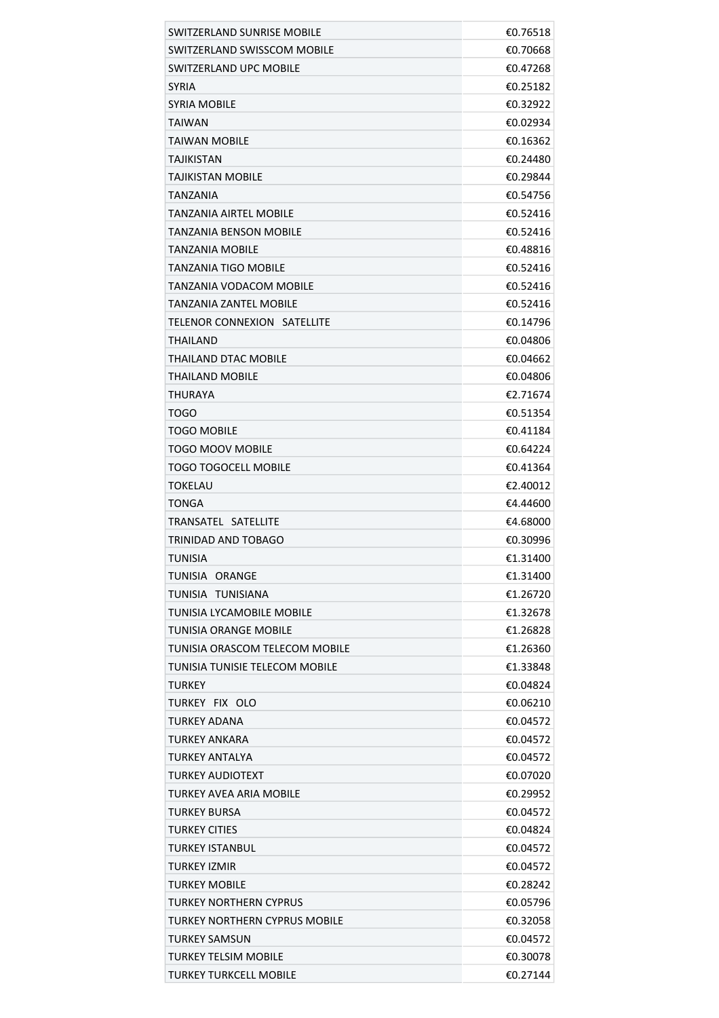| SWITZERLAND SUNRISE MOBILE     | €0.76518 |
|--------------------------------|----------|
| SWITZERLAND SWISSCOM MOBILE    | €0.70668 |
| SWITZERLAND UPC MOBILE         | €0.47268 |
| <b>SYRIA</b>                   | €0.25182 |
| SYRIA MOBILE                   | €0.32922 |
| TAIWAN                         | €0.02934 |
| TAIWAN MOBILE                  | €0.16362 |
| <b>TAJIKISTAN</b>              | €0.24480 |
| TAJIKISTAN MOBILE              | €0.29844 |
| TANZANIA                       | €0.54756 |
| TANZANIA AIRTEL MOBILE         | €0.52416 |
| TANZANIA BENSON MOBILE         | €0.52416 |
| TANZANIA MOBILE                | €0.48816 |
| TANZANIA TIGO MOBILE           | €0.52416 |
| TANZANIA VODACOM MOBILE        | €0.52416 |
| TANZANIA ZANTEL MOBILE         | €0.52416 |
| TELENOR CONNEXION SATELLITE    | €0.14796 |
| THAILAND                       | €0.04806 |
| THAILAND DTAC MOBILE           | €0.04662 |
| THAILAND MOBILE                | €0.04806 |
| THURAYA                        | €2.71674 |
| TOGO                           | €0.51354 |
| TOGO MOBILE                    | €0.41184 |
| TOGO MOOV MOBILE               | €0.64224 |
| TOGO TOGOCELL MOBILE           | €0.41364 |
| TOKELAU                        | €2.40012 |
| TONGA                          | €4.44600 |
| TRANSATEL SATELLITE            | €4.68000 |
| TRINIDAD AND TOBAGO            | €0.30996 |
| TUNISIA                        | €1.31400 |
| TUNISIA ORANGE                 | €1.31400 |
| TUNISIA TUNISIANA              | €1.26720 |
| TUNISIA LYCAMOBILE MOBILE      | €1.32678 |
| TUNISIA ORANGE MOBILE          | €1.26828 |
| TUNISIA ORASCOM TELECOM MOBILE | €1.26360 |
| TUNISIA TUNISIE TELECOM MOBILE | €1.33848 |
| TURKEY                         | €0.04824 |
| TURKEY FIX OLO                 | €0.06210 |
| TURKEY ADANA                   | €0.04572 |
| TURKEY ANKARA                  | €0.04572 |
| TURKEY ANTALYA                 | €0.04572 |
| TURKEY AUDIOTEXT               | €0.07020 |
| TURKEY AVEA ARIA MOBILE        | €0.29952 |
| TURKEY BURSA                   | €0.04572 |
| <b>TURKEY CITIES</b>           | €0.04824 |
| TURKEY ISTANBUL                | €0.04572 |
| TURKEY IZMIR                   | €0.04572 |
| TURKEY MOBILE                  | €0.28242 |
| TURKEY NORTHERN CYPRUS         | €0.05796 |
| TURKEY NORTHERN CYPRUS MOBILE  | €0.32058 |
| TURKEY SAMSUN                  | €0.04572 |
| TURKEY TELSIM MOBILE           | €0.30078 |
|                                |          |
| <b>TURKEY TURKCELL MOBILE</b>  | €0.27144 |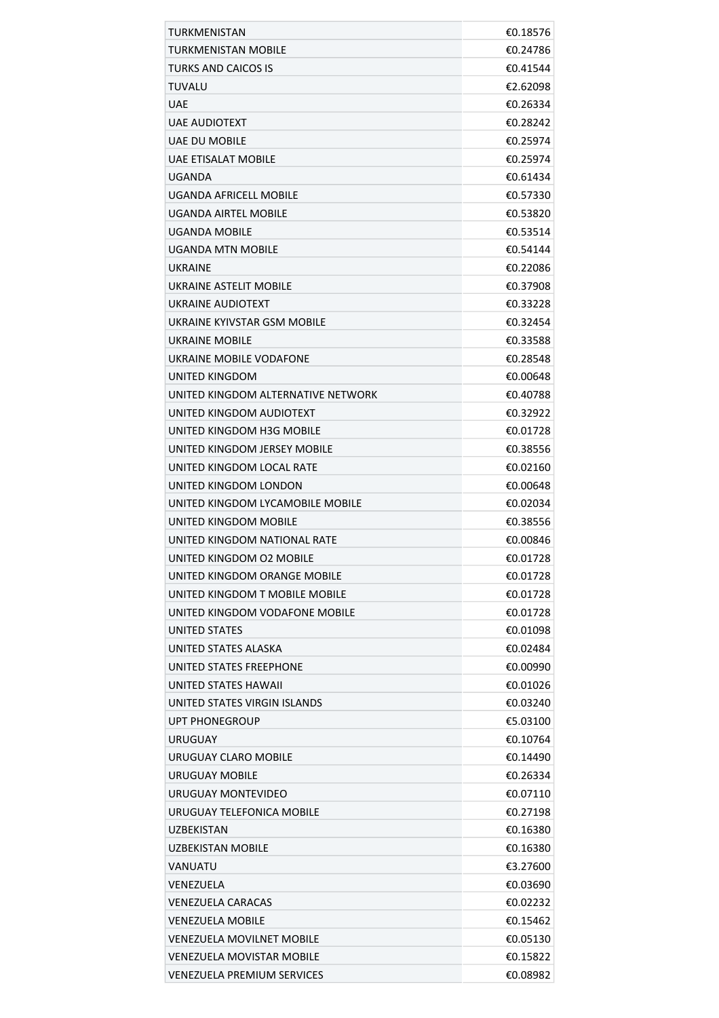| TURKMENISTAN                       | €0.18576 |
|------------------------------------|----------|
| TURKMENISTAN MOBILE                | €0.24786 |
| TURKS AND CAICOS IS                | €0.41544 |
| TUVALU                             | €2.62098 |
| <b>UAE</b>                         | €0.26334 |
| UAE AUDIOTEXT                      | €0.28242 |
| UAE DU MOBILE                      | €0.25974 |
| UAE ETISALAT MOBILE                | €0.25974 |
| UGANDA                             | €0.61434 |
| UGANDA AFRICELL MOBILE             | €0.57330 |
| UGANDA AIRTEL MOBILE               | €0.53820 |
| UGANDA MOBILE                      | €0.53514 |
| UGANDA MTN MOBILE                  | €0.54144 |
| UKRAINE                            | €0.22086 |
| UKRAINE ASTELIT MOBILE             | €0.37908 |
| UKRAINE AUDIOTEXT                  | €0.33228 |
| UKRAINE KYIVSTAR GSM MOBILE        | €0.32454 |
| UKRAINE MOBILE                     | €0.33588 |
| UKRAINE MOBILE VODAFONE            | €0.28548 |
| UNITED KINGDOM                     | €0.00648 |
| UNITED KINGDOM ALTERNATIVE NETWORK | €0.40788 |
| UNITED KINGDOM AUDIOTEXT           | €0.32922 |
| UNITED KINGDOM H3G MOBILE          | €0.01728 |
| UNITED KINGDOM JERSEY MOBILE       | €0.38556 |
| UNITED KINGDOM LOCAL RATE          | €0.02160 |
| UNITED KINGDOM LONDON              | €0.00648 |
| UNITED KINGDOM LYCAMOBILE MOBILE   | €0.02034 |
| UNITED KINGDOM MOBILE              | €0.38556 |
| UNITED KINGDOM NATIONAL RATE       | €0.00846 |
| UNITED KINGDOM O2 MOBILE           | €0.01728 |
| UNITED KINGDOM ORANGE MOBILE       | €0.01728 |
| UNITED KINGDOM T MOBILE MOBILE     | €0.01728 |
| UNITED KINGDOM VODAFONE MOBILE     | €0.01728 |
| UNITED STATES                      | €0.01098 |
| UNITED STATES ALASKA               | €0.02484 |
| UNITED STATES FREEPHONE            | €0.00990 |
| UNITED STATES HAWAII               | €0.01026 |
| UNITED STATES VIRGIN ISLANDS       | €0.03240 |
| UPT PHONEGROUP                     |          |
|                                    | €5.03100 |
| URUGUAY                            | €0.10764 |
| URUGUAY CLARO MOBILE               | €0.14490 |
| URUGUAY MOBILE                     | €0.26334 |
| URUGUAY MONTEVIDEO                 | €0.07110 |
| URUGUAY TELEFONICA MOBILE          | €0.27198 |
| UZBEKISTAN                         | €0.16380 |
| UZBEKISTAN MOBILE                  | €0.16380 |
| VANUATU                            | €3.27600 |
| VENEZUELA                          | €0.03690 |
| <b>VENEZUELA CARACAS</b>           | €0.02232 |
| <b>VENEZUELA MOBILE</b>            | €0.15462 |
| <b>VENEZUELA MOVILNET MOBILE</b>   | €0.05130 |
| <b>VENEZUELA MOVISTAR MOBILE</b>   | €0.15822 |
| <b>VENEZUELA PREMIUM SERVICES</b>  | €0.08982 |